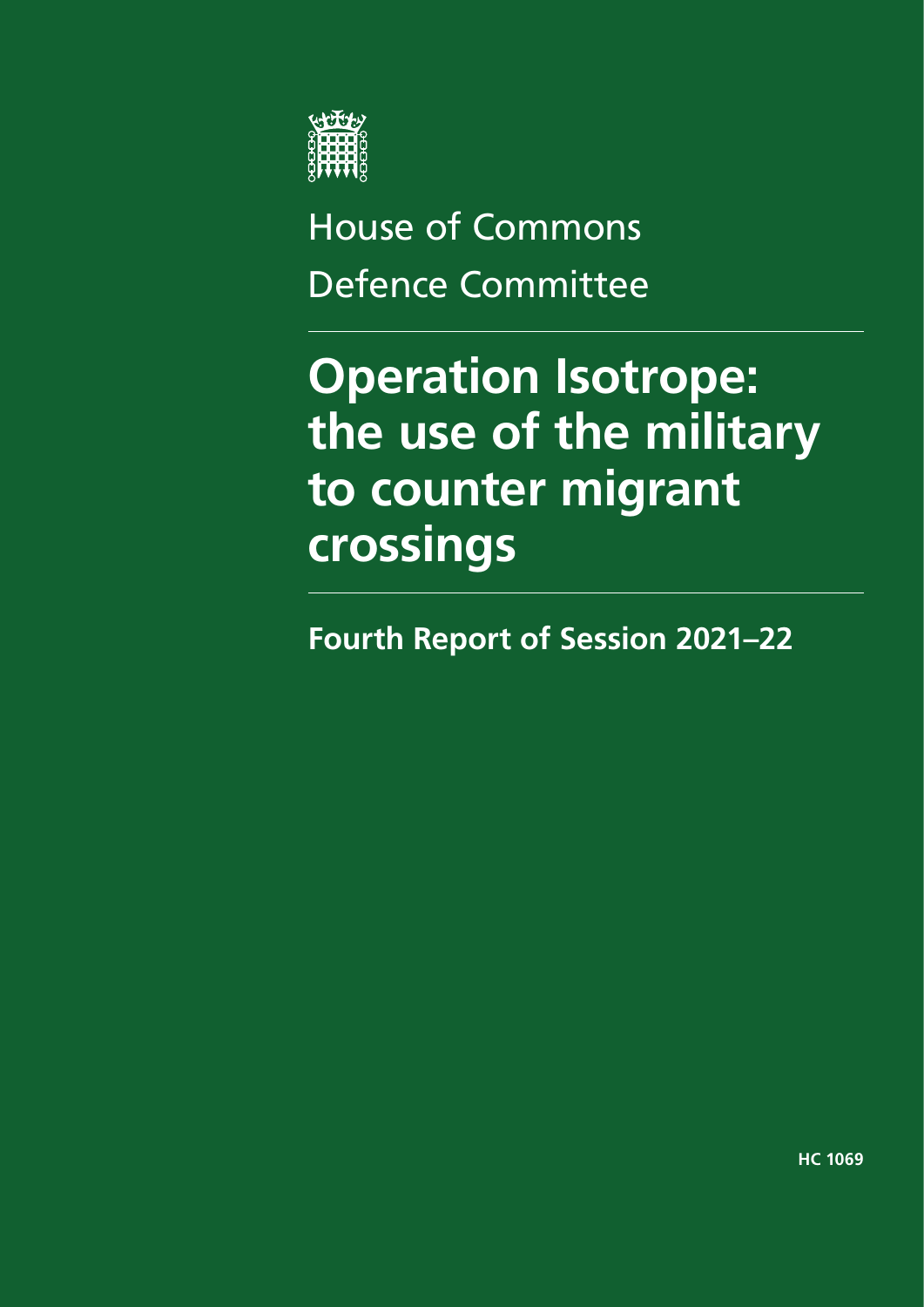

# House of Commons Defence Committee

# **Operation Isotrope: the use of the military to counter migrant crossings**

**Fourth Report of Session 2021–22**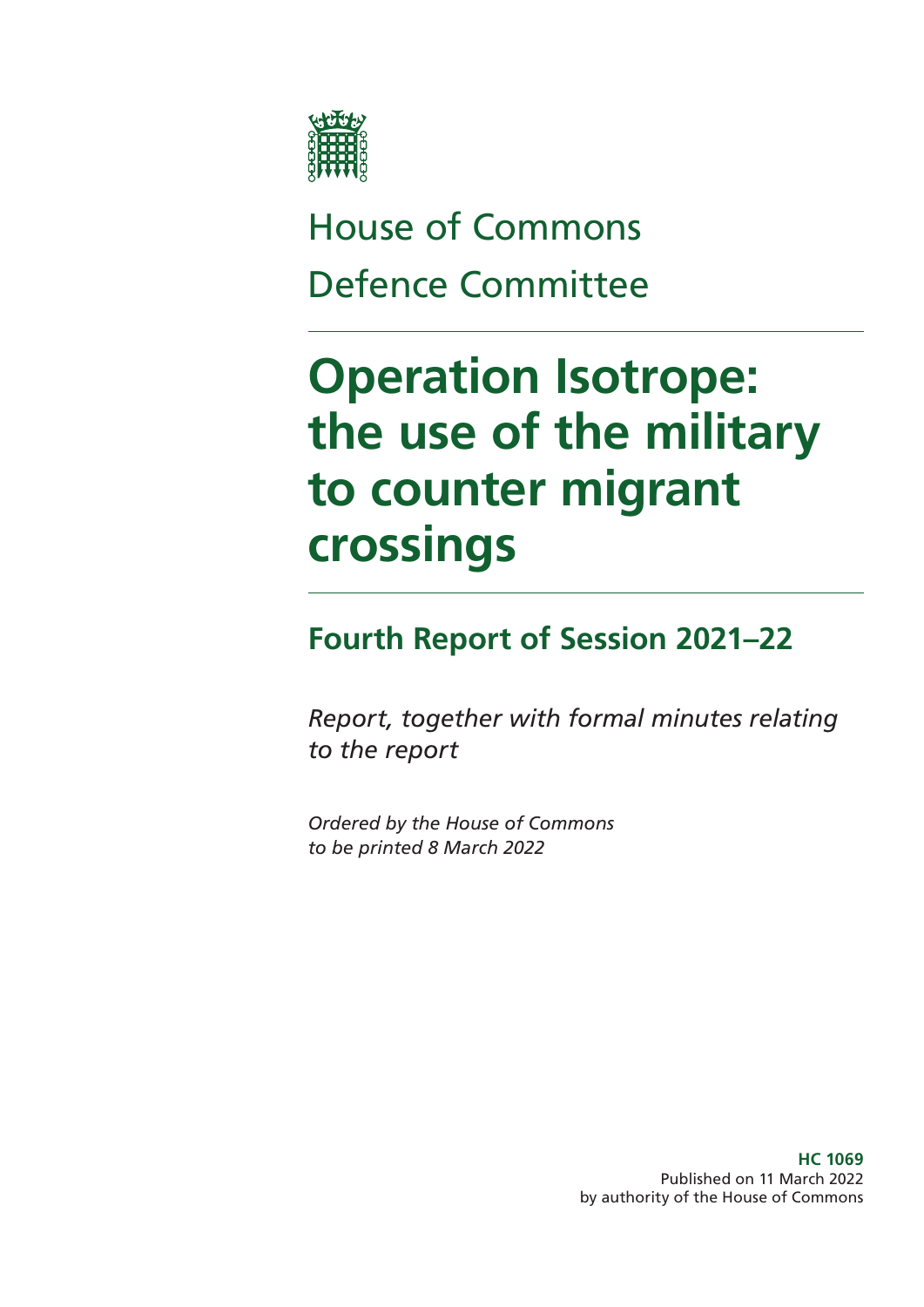

# House of Commons Defence Committee

# **Operation Isotrope: the use of the military to counter migrant crossings**

## **Fourth Report of Session 2021–22**

*Report, together with formal minutes relating to the report*

*Ordered by the House of Commons to be printed 8 March 2022*

> **HC 1069** Published on 11 March 2022 by authority of the House of Commons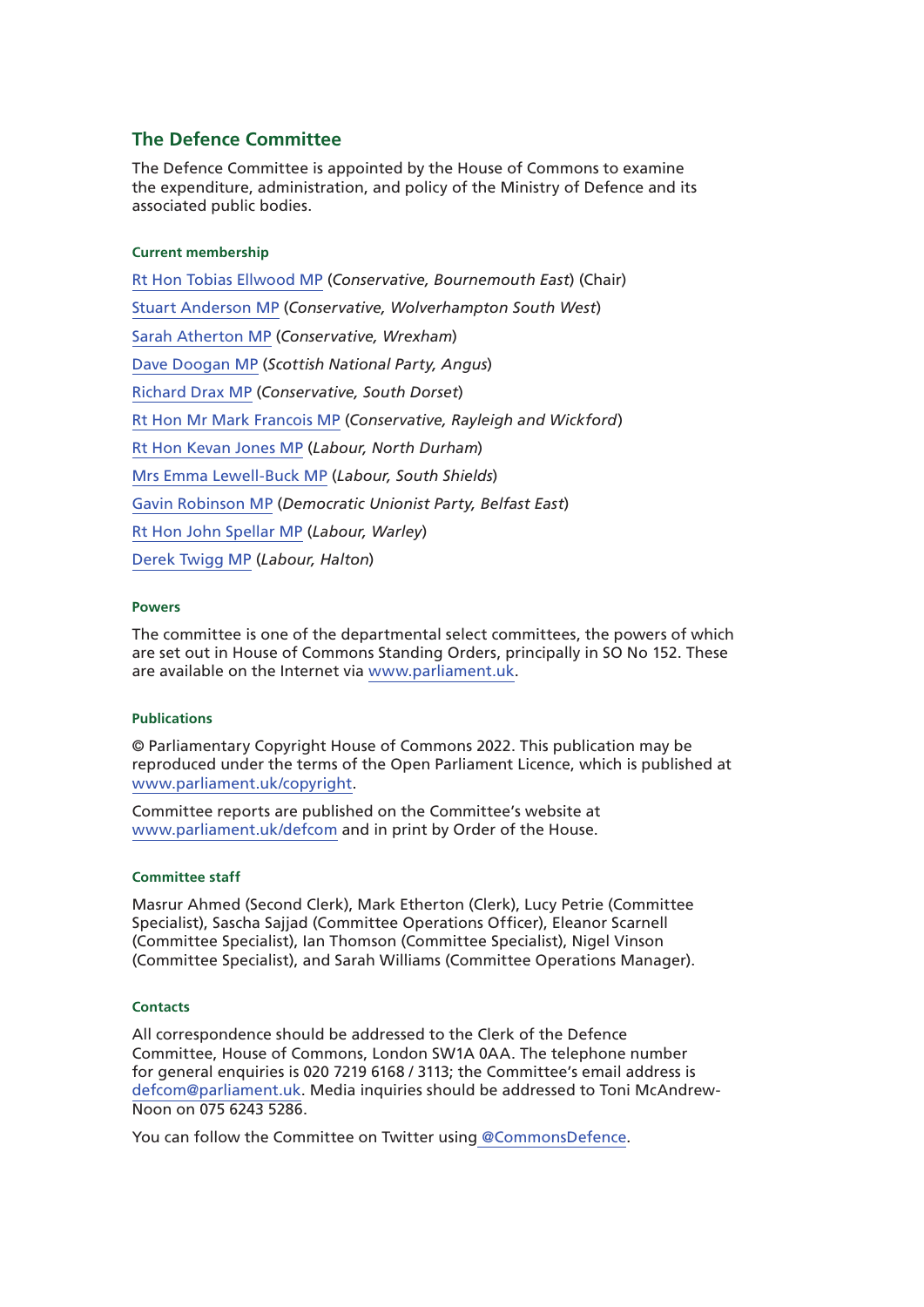#### **The Defence Committee**

The Defence Committee is appointed by the House of Commons to examine the expenditure, administration, and policy of the Ministry of Defence and its associated public bodies.

#### **Current membership**

Rt Hon Tobias Ellwood MP (*Conservative, Bournemouth East*) (Chair) Stuart Anderson MP (*Conservative, Wolverhampton South West*) Sarah Atherton MP (*Conservative, Wrexham*) Dave Doogan MP (*Scottish National Party, Angus*) Richard Drax MP (*Conservative, South Dorset*) Rt Hon Mr Mark Francois MP (*Conservative, Rayleigh and Wickford*) Rt Hon Kevan Jones MP (*Labour, North Durham*) Mrs Emma Lewell-Buck MP (*Labour, South Shields*) Gavin Robinson MP (*Democratic Unionist Party, Belfast East*) Rt Hon John Spellar MP (*Labour, Warley*) Derek Twigg MP (*Labour, Halton*)

#### **Powers**

The committee is one of the departmental select committees, the powers of which are set out in House of Commons Standing Orders, principally in SO No 152. These are available on the Internet via www.parliament.uk.

#### **Publications**

© Parliamentary Copyright House of Commons 2022. This publication may be reproduced under the terms of the Open Parliament Licence, which is published at www.parliament.uk/copyright.

Committee reports are published on the Committee's website at www.parliament.uk/defcom and in print by Order of the House.

#### **Committee staff**

Masrur Ahmed (Second Clerk), Mark Etherton (Clerk), Lucy Petrie (Committee Specialist), Sascha Sajjad (Committee Operations Officer), Eleanor Scarnell (Committee Specialist), Ian Thomson (Committee Specialist), Nigel Vinson (Committee Specialist), and Sarah Williams (Committee Operations Manager).

#### **Contacts**

All correspondence should be addressed to the Clerk of the Defence Committee, House of Commons, London SW1A 0AA. The telephone number for general enquiries is 020 7219 6168 / 3113; the Committee's email address is defcom@parliament.uk. Media inquiries should be addressed to Toni McAndrew-Noon on 075 6243 5286.

You can follow the Committee on Twitter using @CommonsDefence.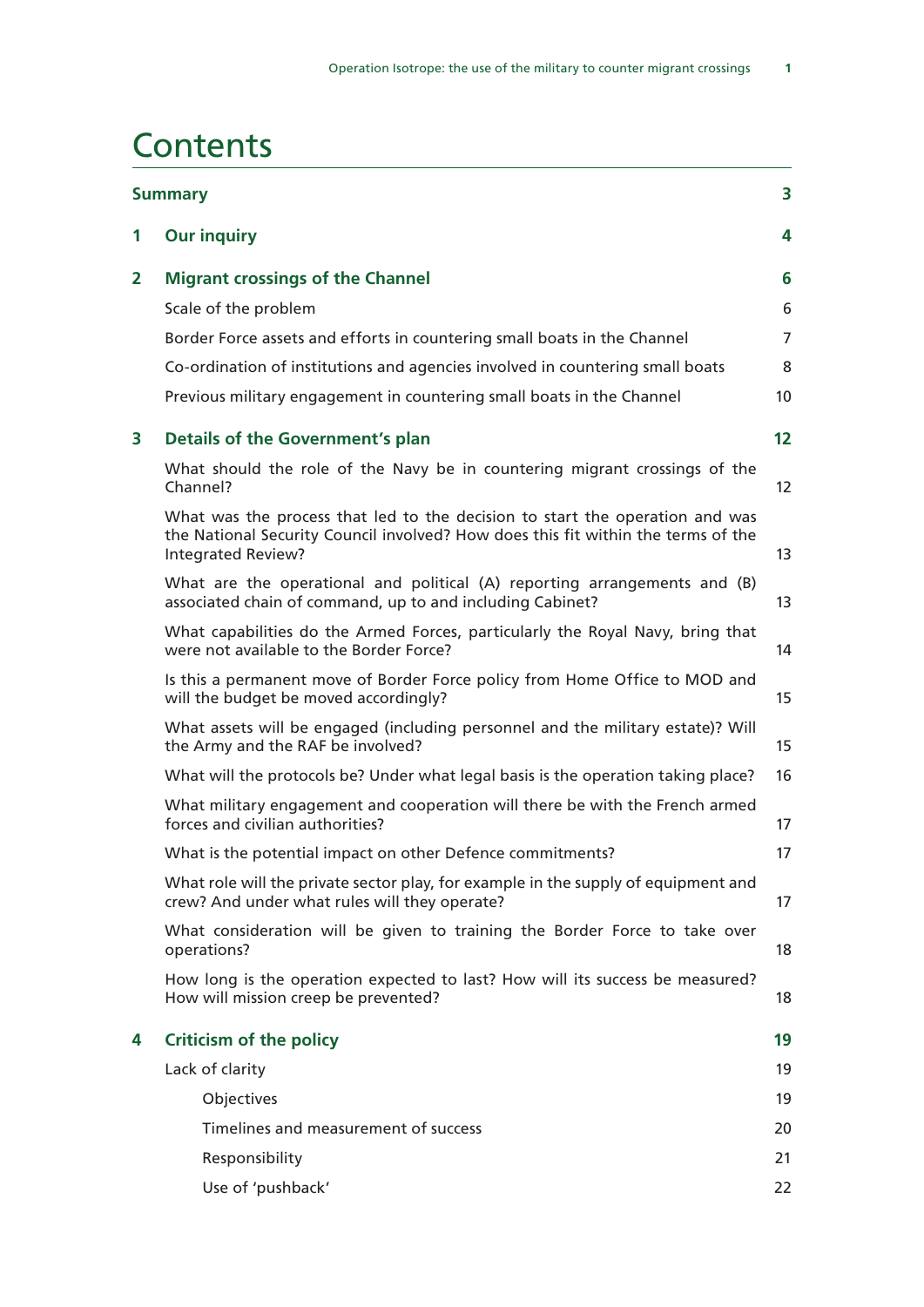### **Contents**

| <b>Summary</b> |                                                                                                                                                                                                | 3  |  |
|----------------|------------------------------------------------------------------------------------------------------------------------------------------------------------------------------------------------|----|--|
| 1              | <b>Our inquiry</b>                                                                                                                                                                             |    |  |
| $\mathbf{2}$   | <b>Migrant crossings of the Channel</b>                                                                                                                                                        | 6  |  |
|                | Scale of the problem                                                                                                                                                                           | 6  |  |
|                | Border Force assets and efforts in countering small boats in the Channel                                                                                                                       | 7  |  |
|                | Co-ordination of institutions and agencies involved in countering small boats                                                                                                                  | 8  |  |
|                | Previous military engagement in countering small boats in the Channel                                                                                                                          | 10 |  |
| 3              | <b>Details of the Government's plan</b>                                                                                                                                                        | 12 |  |
|                | What should the role of the Navy be in countering migrant crossings of the<br>Channel?                                                                                                         | 12 |  |
|                | What was the process that led to the decision to start the operation and was<br>the National Security Council involved? How does this fit within the terms of the<br><b>Integrated Review?</b> | 13 |  |
|                | What are the operational and political (A) reporting arrangements and (B)<br>associated chain of command, up to and including Cabinet?                                                         | 13 |  |
|                | What capabilities do the Armed Forces, particularly the Royal Navy, bring that<br>were not available to the Border Force?                                                                      | 14 |  |
|                | Is this a permanent move of Border Force policy from Home Office to MOD and<br>will the budget be moved accordingly?                                                                           | 15 |  |
|                | What assets will be engaged (including personnel and the military estate)? Will<br>the Army and the RAF be involved?                                                                           | 15 |  |
|                | What will the protocols be? Under what legal basis is the operation taking place?                                                                                                              | 16 |  |
|                | What military engagement and cooperation will there be with the French armed<br>forces and civilian authorities?                                                                               | 17 |  |
|                | What is the potential impact on other Defence commitments?                                                                                                                                     | 17 |  |
|                | What role will the private sector play, for example in the supply of equipment and<br>crew? And under what rules will they operate?                                                            | 17 |  |
|                | What consideration will be given to training the Border Force to take over<br>operations?                                                                                                      | 18 |  |
|                | How long is the operation expected to last? How will its success be measured?<br>How will mission creep be prevented?                                                                          | 18 |  |
| 4              | <b>Criticism of the policy</b>                                                                                                                                                                 | 19 |  |
|                | Lack of clarity                                                                                                                                                                                | 19 |  |
|                | Objectives                                                                                                                                                                                     | 19 |  |
|                | Timelines and measurement of success                                                                                                                                                           | 20 |  |
|                | Responsibility                                                                                                                                                                                 | 21 |  |
|                | Use of 'pushback'                                                                                                                                                                              | 22 |  |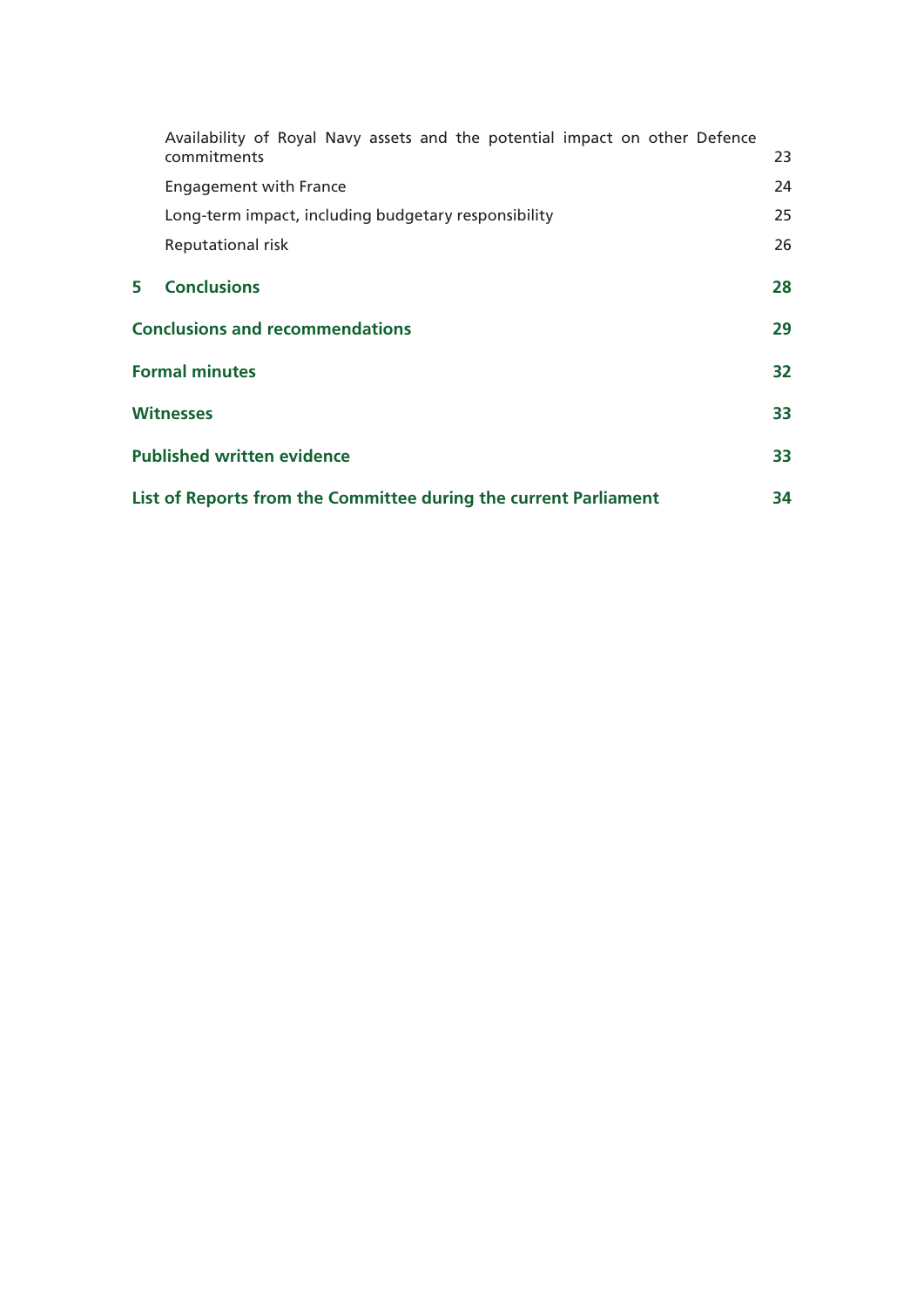|   | Availability of Royal Navy assets and the potential impact on other Defence |    |
|---|-----------------------------------------------------------------------------|----|
|   | commitments                                                                 | 23 |
|   | <b>Engagement with France</b>                                               | 24 |
|   | Long-term impact, including budgetary responsibility                        | 25 |
|   | Reputational risk                                                           | 26 |
| 5 | <b>Conclusions</b>                                                          | 28 |
|   | <b>Conclusions and recommendations</b>                                      |    |
|   | <b>Formal minutes</b>                                                       |    |
|   | <b>Witnesses</b>                                                            |    |
|   | <b>Published written evidence</b>                                           |    |
|   | List of Reports from the Committee during the current Parliament            |    |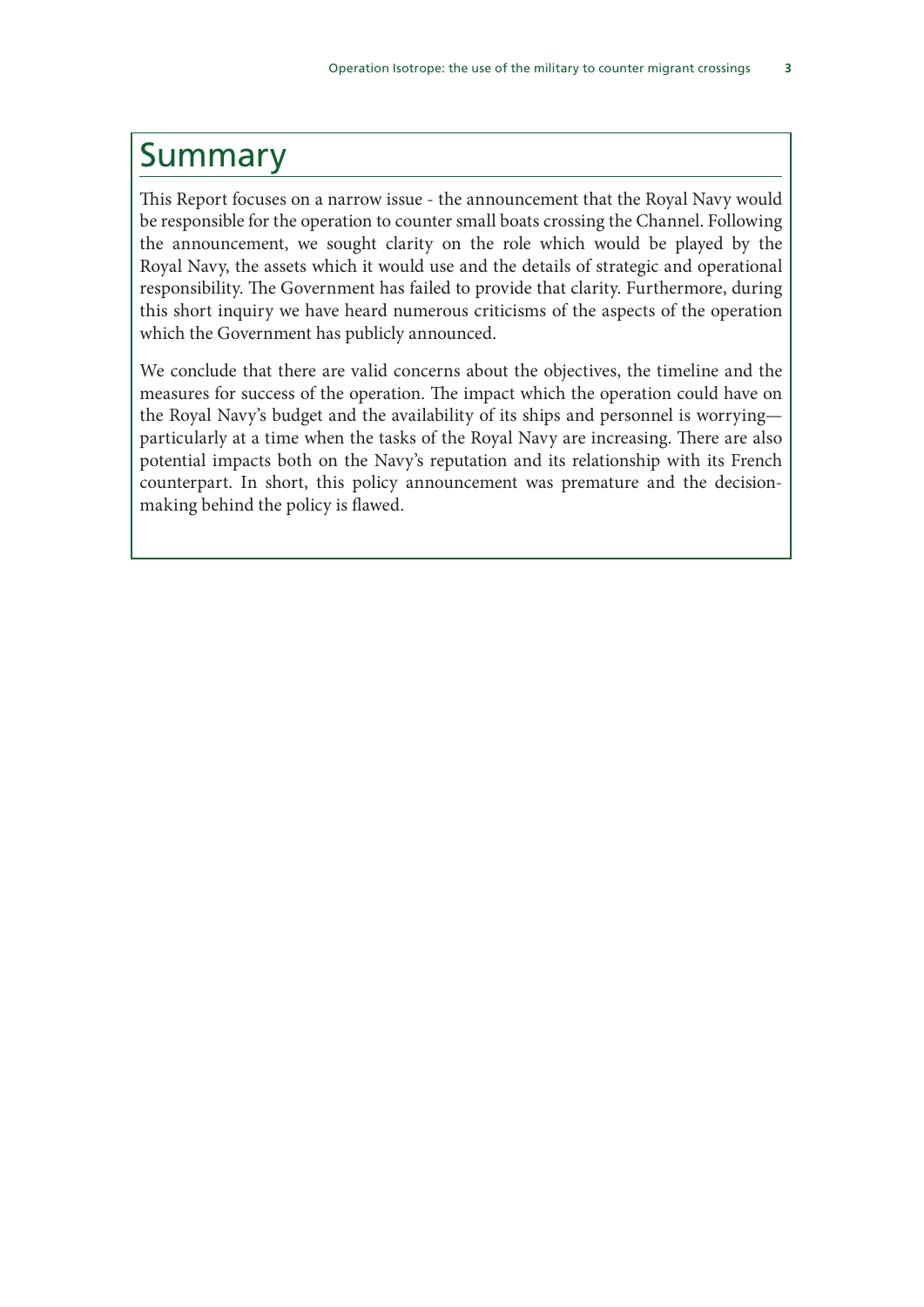### Summary

This Report focuses on a narrow issue - the announcement that the Royal Navy would be responsible for the operation to counter small boats crossing the Channel. Following the announcement, we sought clarity on the role which would be played by the Royal Navy, the assets which it would use and the details of strategic and operational responsibility. The Government has failed to provide that clarity. Furthermore, during this short inquiry we have heard numerous criticisms of the aspects of the operation which the Government has publicly announced.

We conclude that there are valid concerns about the objectives, the timeline and the measures for success of the operation. The impact which the operation could have on the Royal Navy's budget and the availability of its ships and personnel is worrying particularly at a time when the tasks of the Royal Navy are increasing. There are also potential impacts both on the Navy's reputation and its relationship with its French counterpart. In short, this policy announcement was premature and the decisionmaking behind the policy is flawed.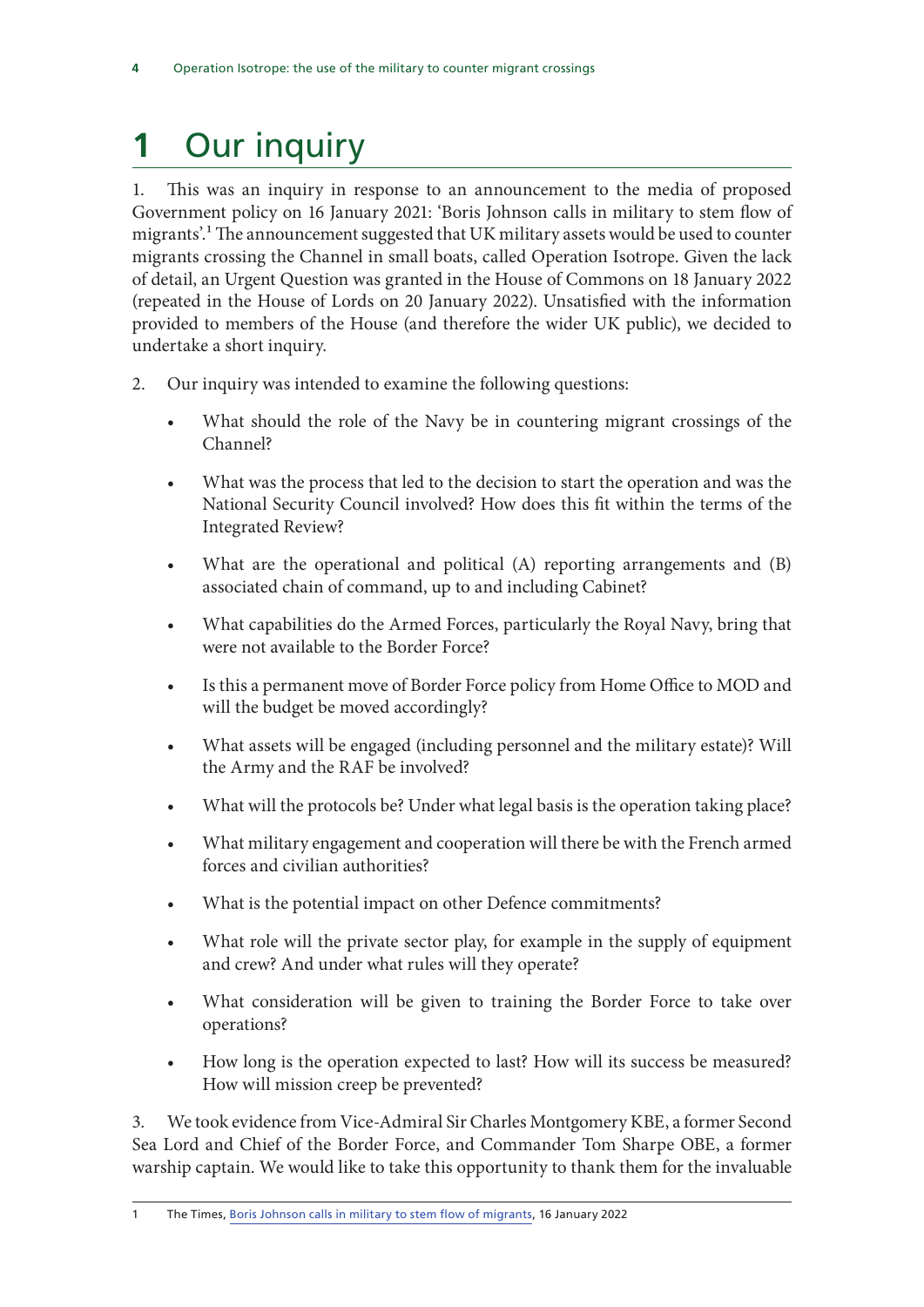## **1** Our inquiry

1. This was an inquiry in response to an announcement to the media of proposed Government policy on 16 January 2021: 'Boris Johnson calls in military to stem flow of migrants'.<sup>1</sup> The announcement suggested that UK military assets would be used to counter migrants crossing the Channel in small boats, called Operation Isotrope. Given the lack of detail, an Urgent Question was granted in the House of Commons on 18 January 2022 (repeated in the House of Lords on 20 January 2022). Unsatisfied with the information provided to members of the House (and therefore the wider UK public), we decided to undertake a short inquiry.

- 2. Our inquiry was intended to examine the following questions:
	- What should the role of the Navy be in countering migrant crossings of the Channel?
	- What was the process that led to the decision to start the operation and was the National Security Council involved? How does this fit within the terms of the Integrated Review?
	- What are the operational and political (A) reporting arrangements and (B) associated chain of command, up to and including Cabinet?
	- What capabilities do the Armed Forces, particularly the Royal Navy, bring that were not available to the Border Force?
	- Is this a permanent move of Border Force policy from Home Office to MOD and will the budget be moved accordingly?
	- What assets will be engaged (including personnel and the military estate)? Will the Army and the RAF be involved?
	- What will the protocols be? Under what legal basis is the operation taking place?
	- What military engagement and cooperation will there be with the French armed forces and civilian authorities?
	- What is the potential impact on other Defence commitments?
	- What role will the private sector play, for example in the supply of equipment and crew? And under what rules will they operate?
	- What consideration will be given to training the Border Force to take over operations?
	- How long is the operation expected to last? How will its success be measured? How will mission creep be prevented?

3. We took evidence from Vice-Admiral Sir Charles Montgomery KBE, a former Second Sea Lord and Chief of the Border Force, and Commander Tom Sharpe OBE, a former warship captain. We would like to take this opportunity to thank them for the invaluable

1 The Times, Boris Johnson calls in military to stem flow of migrants, 16 January 2022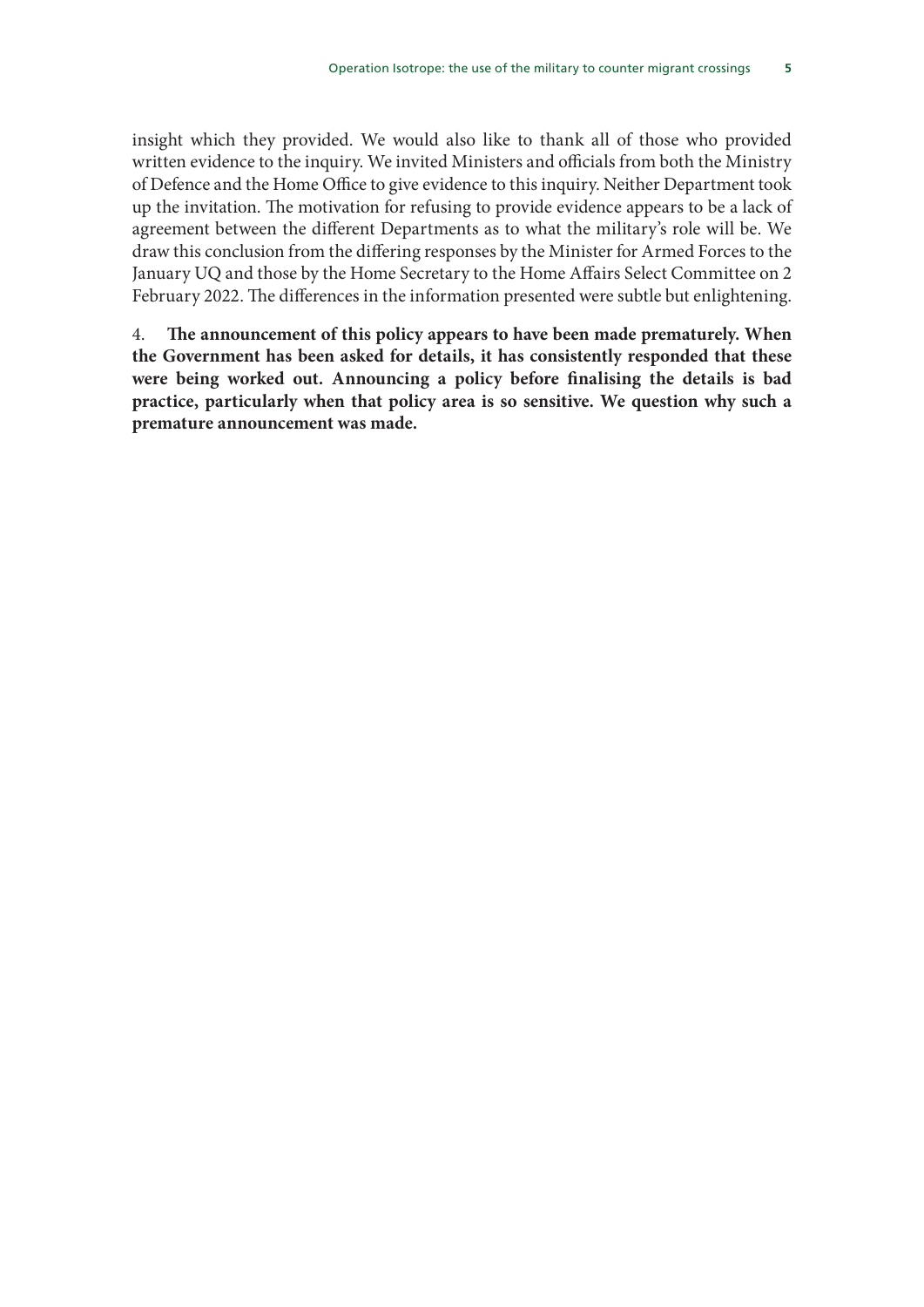insight which they provided. We would also like to thank all of those who provided written evidence to the inquiry. We invited Ministers and officials from both the Ministry of Defence and the Home Office to give evidence to this inquiry. Neither Department took up the invitation. The motivation for refusing to provide evidence appears to be a lack of agreement between the different Departments as to what the military's role will be. We draw this conclusion from the differing responses by the Minister for Armed Forces to the January UQ and those by the Home Secretary to the Home Affairs Select Committee on 2 February 2022. The differences in the information presented were subtle but enlightening.

4. **The announcement of this policy appears to have been made prematurely. When the Government has been asked for details, it has consistently responded that these were being worked out. Announcing a policy before finalising the details is bad practice, particularly when that policy area is so sensitive. We question why such a premature announcement was made.**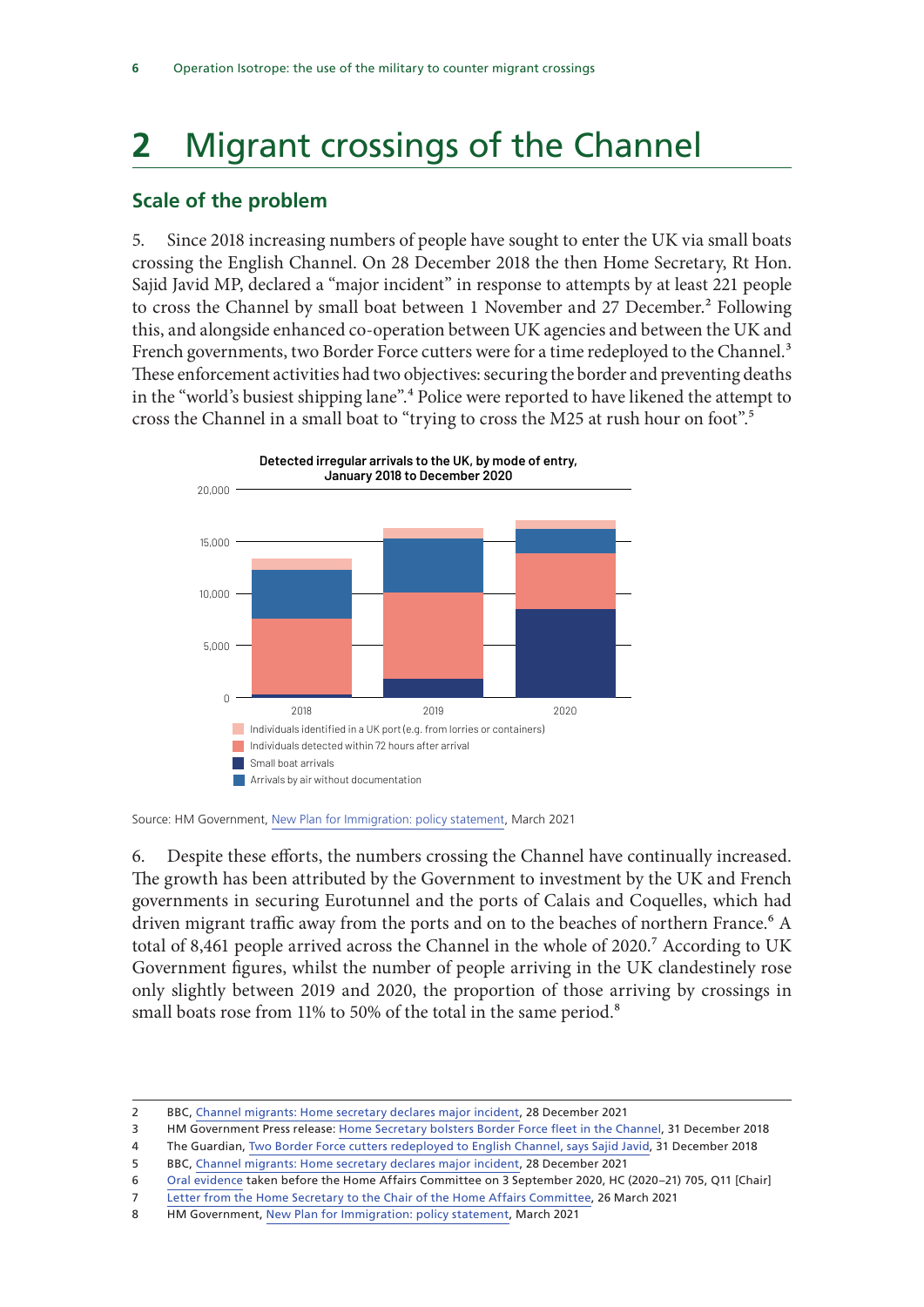## **2** Migrant crossings of the Channel

#### **Scale of the problem**

5. Since 2018 increasing numbers of people have sought to enter the UK via small boats crossing the English Channel. On 28 December 2018 the then Home Secretary, Rt Hon. Sajid Javid MP, declared a "major incident" in response to attempts by at least 221 people to cross the Channel by small boat between 1 November and 27 December.<sup>2</sup> Following this, and alongside enhanced co-operation between UK agencies and between the UK and French governments, two Border Force cutters were for a time redeployed to the Channel.<sup>3</sup> These enforcement activities had two objectives: securing the border and preventing deaths in the "world's busiest shipping lane".4 Police were reported to have likened the attempt to cross the Channel in a small boat to "trying to cross the M25 at rush hour on foot".<sup>5</sup>



Source: HM Government, New Plan for Immigration: policy statement, March 2021

• In the summer of 2020, the number of people crossing the English Channel in small

boats reached record levels, with **8,500** people arriving this way that year. Other routes 6. Despite these efforts, the numbers crossing the Channel have continually increased. The growth has been attributed by the Government to investment by the UK and French governments in securing Eurotunnel and the ports of Calais and Coquelles, which had driven migrant traffic away from the ports and on to the beaches of northern France.<sup>6</sup> A **32% 14%**  small boats rose from 11% to 50% of the total in the same period.8 total of 8,461 people arrived across the Channel in the whole of 2020.<sup>7</sup> According to UK mber of people arriving in Government figures, whilst the number of people arriving in the UK clandestinely rose only slightly between 2019 and 2020, the proportion of those arriving by crossings in

4 The Guardian, Two Border Force cutters redeployed to English Channel, says Sajid Javid, 31 December 2018 5 BBC, Channel migrants: Home secretary declares major incident, 28 December 2021

<sup>2</sup> BBC, Channel migrants: Home secretary declares major incident, 28 December 2021

<sup>3</sup> HM Government Press release: Home Secretary bolsters Border Force fleet in the Channel, 31 December 2018

<sup>6</sup> Oral evidence taken before the Home Affairs Committee on 3 September 2020, HC (2020–21) 705, Q11 [Chair]

<sup>7</sup> Letter from the Home Secretary to the Chair of the Home Affairs Committee, 26 March 2021

<sup>8</sup> HM Government, New Plan for Immigration: policy statement, March 2021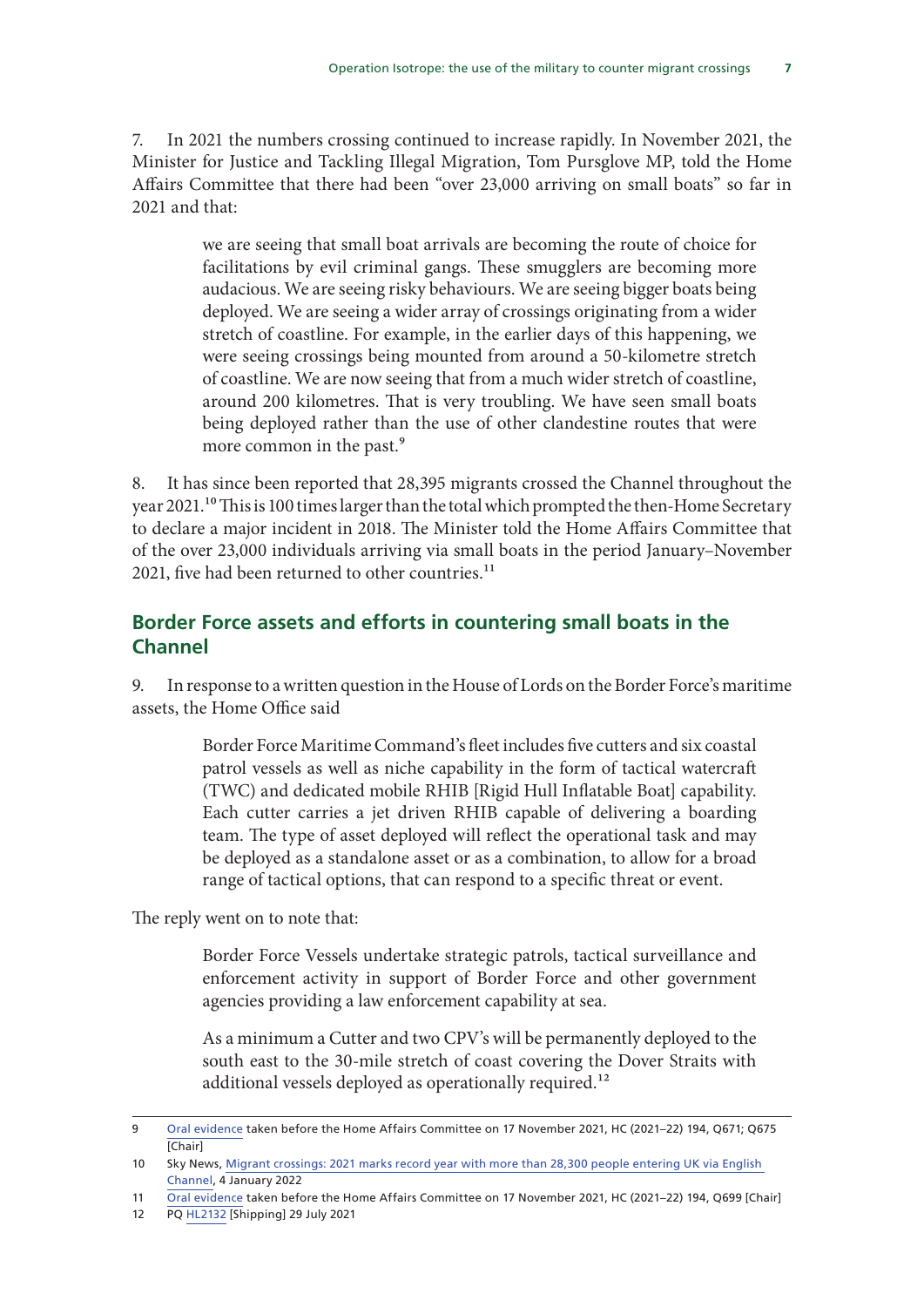7. In 2021 the numbers crossing continued to increase rapidly. In November 2021, the Minister for Justice and Tackling Illegal Migration, Tom Pursglove MP, told the Home Affairs Committee that there had been "over 23,000 arriving on small boats" so far in 2021 and that:

> we are seeing that small boat arrivals are becoming the route of choice for facilitations by evil criminal gangs. These smugglers are becoming more audacious. We are seeing risky behaviours. We are seeing bigger boats being deployed. We are seeing a wider array of crossings originating from a wider stretch of coastline. For example, in the earlier days of this happening, we were seeing crossings being mounted from around a 50-kilometre stretch of coastline. We are now seeing that from a much wider stretch of coastline, around 200 kilometres. That is very troubling. We have seen small boats being deployed rather than the use of other clandestine routes that were more common in the past.<sup>9</sup>

8. It has since been reported that 28,395 migrants crossed the Channel throughout the year 2021.<sup>10</sup> This is 100 times larger than the total which prompted the then-Home Secretary to declare a major incident in 2018. The Minister told the Home Affairs Committee that of the over 23,000 individuals arriving via small boats in the period January–November 2021, five had been returned to other countries. $11$ 

#### **Border Force assets and efforts in countering small boats in the Channel**

9. In response to a written question in the House of Lords on the Border Force's maritime assets, the Home Office said

> Border Force Maritime Command's fleet includes five cutters and six coastal patrol vessels as well as niche capability in the form of tactical watercraft (TWC) and dedicated mobile RHIB [Rigid Hull Inflatable Boat] capability. Each cutter carries a jet driven RHIB capable of delivering a boarding team. The type of asset deployed will reflect the operational task and may be deployed as a standalone asset or as a combination, to allow for a broad range of tactical options, that can respond to a specific threat or event.

The reply went on to note that:

Border Force Vessels undertake strategic patrols, tactical surveillance and enforcement activity in support of Border Force and other government agencies providing a law enforcement capability at sea.

As a minimum a Cutter and two CPV's will be permanently deployed to the south east to the 30-mile stretch of coast covering the Dover Straits with additional vessels deployed as operationally required.<sup>12</sup>

<sup>9</sup> Oral evidence taken before the Home Affairs Committee on 17 November 2021, HC (2021–22) 194, Q671; Q675 [Chair]

<sup>10</sup> Sky News, Migrant crossings: 2021 marks record year with more than 28,300 people entering UK via English Channel, 4 January 2022

<sup>11</sup> Oral evidence taken before the Home Affairs Committee on 17 November 2021, HC (2021–22) 194, Q699 [Chair]

<sup>12</sup> PQ HL2132 [Shipping] 29 July 2021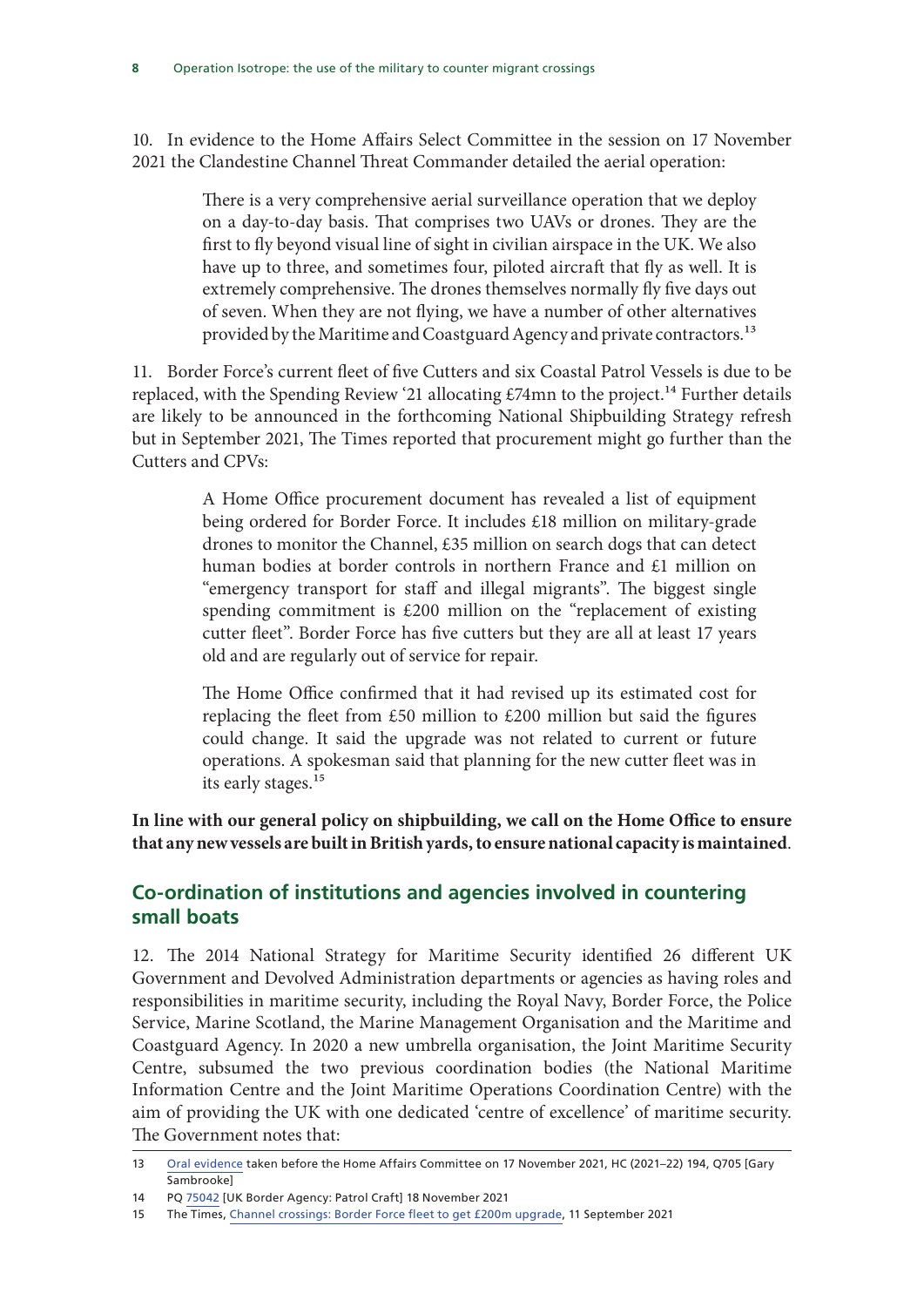10. In evidence to the Home Affairs Select Committee in the session on 17 November 2021 the Clandestine Channel Threat Commander detailed the aerial operation:

> There is a very comprehensive aerial surveillance operation that we deploy on a day-to-day basis. That comprises two UAVs or drones. They are the first to fly beyond visual line of sight in civilian airspace in the UK. We also have up to three, and sometimes four, piloted aircraft that fly as well. It is extremely comprehensive. The drones themselves normally fly five days out of seven. When they are not flying, we have a number of other alternatives provided by the Maritime and Coastguard Agency and private contractors.<sup>13</sup>

11. Border Force's current fleet of five Cutters and six Coastal Patrol Vessels is due to be replaced, with the Spending Review '21 allocating £74mn to the project.<sup>14</sup> Further details are likely to be announced in the forthcoming National Shipbuilding Strategy refresh but in September 2021, The Times reported that procurement might go further than the Cutters and CPVs:

> A Home Office procurement document has revealed a list of equipment being ordered for Border Force. It includes £18 million on military-grade drones to monitor the Channel, £35 million on search dogs that can detect human bodies at border controls in northern France and £1 million on "emergency transport for staff and illegal migrants". The biggest single spending commitment is £200 million on the "replacement of existing cutter fleet". Border Force has five cutters but they are all at least 17 years old and are regularly out of service for repair.

> The Home Office confirmed that it had revised up its estimated cost for replacing the fleet from £50 million to £200 million but said the figures could change. It said the upgrade was not related to current or future operations. A spokesman said that planning for the new cutter fleet was in its early stages.<sup>15</sup>

**In line with our general policy on shipbuilding, we call on the Home Office to ensure that any new vessels are built in British yards, to ensure national capacity is maintained**.

#### **Co-ordination of institutions and agencies involved in countering small boats**

12. The 2014 National Strategy for Maritime Security identified 26 different UK Government and Devolved Administration departments or agencies as having roles and responsibilities in maritime security, including the Royal Navy, Border Force, the Police Service, Marine Scotland, the Marine Management Organisation and the Maritime and Coastguard Agency. In 2020 a new umbrella organisation, the Joint Maritime Security Centre, subsumed the two previous coordination bodies (the National Maritime Information Centre and the Joint Maritime Operations Coordination Centre) with the aim of providing the UK with one dedicated 'centre of excellence' of maritime security. The Government notes that:

<sup>13</sup> Oral evidence taken before the Home Affairs Committee on 17 November 2021, HC (2021–22) 194, Q705 [Gary **Sambrookel** 

<sup>14</sup> PQ 75042 [UK Border Agency: Patrol Craft] 18 November 2021

<sup>15</sup> The Times, Channel crossings: Border Force fleet to get £200m upgrade, 11 September 2021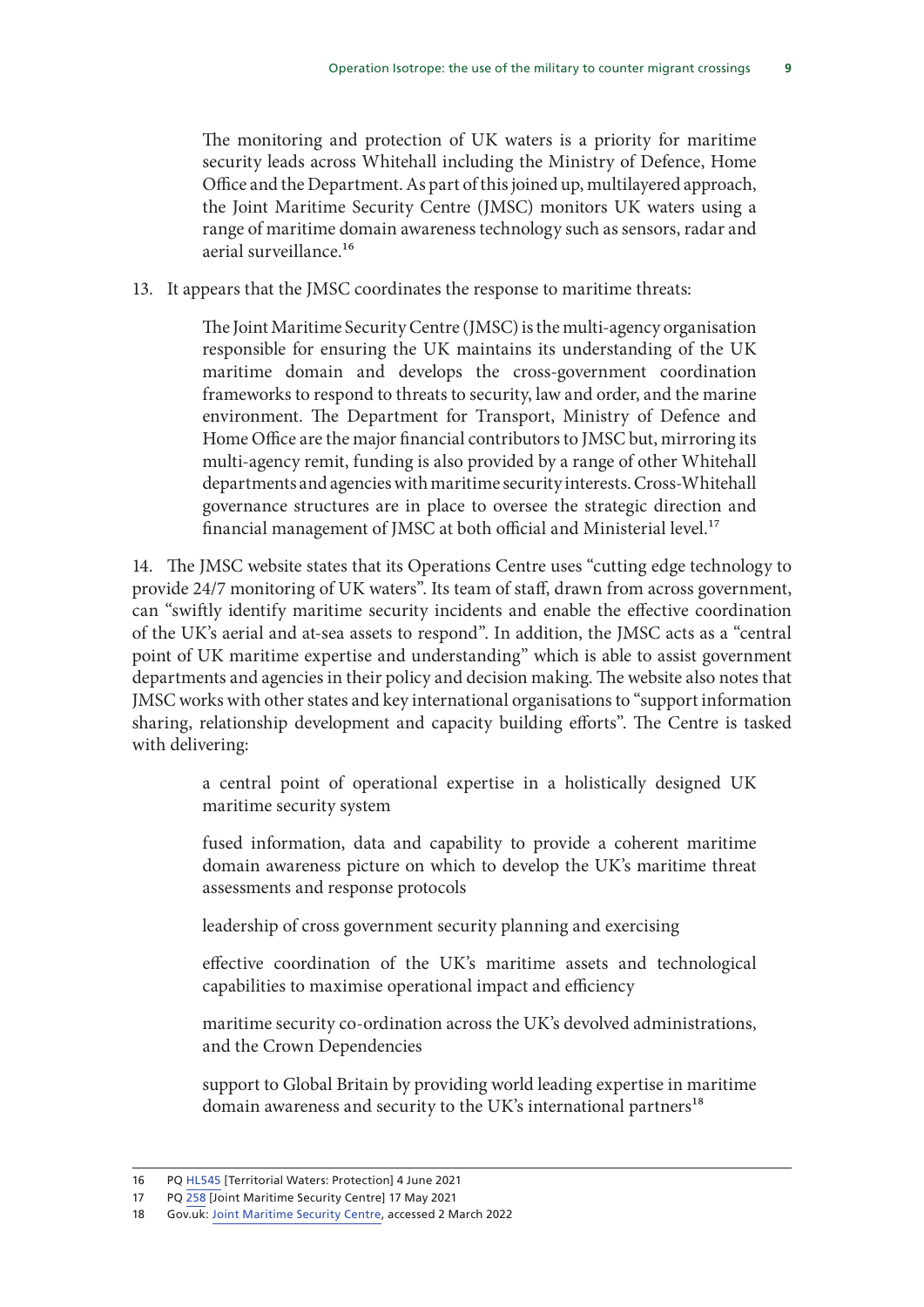The monitoring and protection of UK waters is a priority for maritime security leads across Whitehall including the Ministry of Defence, Home Office and the Department. As part of this joined up, multilayered approach, the Joint Maritime Security Centre (JMSC) monitors UK waters using a range of maritime domain awareness technology such as sensors, radar and aerial surveillance.<sup>16</sup>

13. It appears that the JMSC coordinates the response to maritime threats:

The Joint Maritime Security Centre (JMSC) is the multi-agency organisation responsible for ensuring the UK maintains its understanding of the UK maritime domain and develops the cross-government coordination frameworks to respond to threats to security, law and order, and the marine environment. The Department for Transport, Ministry of Defence and Home Office are the major financial contributors to JMSC but, mirroring its multi-agency remit, funding is also provided by a range of other Whitehall departments and agencies with maritime security interests. Cross-Whitehall governance structures are in place to oversee the strategic direction and financial management of JMSC at both official and Ministerial level.<sup>17</sup>

14. The JMSC website states that its Operations Centre uses "cutting edge technology to provide 24/7 monitoring of UK waters". Its team of staff, drawn from across government, can "swiftly identify maritime security incidents and enable the effective coordination of the UK's aerial and at-sea assets to respond". In addition, the JMSC acts as a "central point of UK maritime expertise and understanding" which is able to assist government departments and agencies in their policy and decision making. The website also notes that JMSC works with other states and key international organisations to "support information sharing, relationship development and capacity building efforts". The Centre is tasked with delivering:

> a central point of operational expertise in a holistically designed UK maritime security system

> fused information, data and capability to provide a coherent maritime domain awareness picture on which to develop the UK's maritime threat assessments and response protocols

leadership of cross government security planning and exercising

effective coordination of the UK's maritime assets and technological capabilities to maximise operational impact and efficiency

maritime security co-ordination across the UK's devolved administrations, and the Crown Dependencies

support to Global Britain by providing world leading expertise in maritime domain awareness and security to the UK's international partners<sup>18</sup>

<sup>16</sup> PQ HL545 [Territorial Waters: Protection] 4 June 2021

<sup>17</sup> PQ 258 [Joint Maritime Security Centre] 17 May 2021

<sup>18</sup> Gov.uk: Joint Maritime Security Centre, accessed 2 March 2022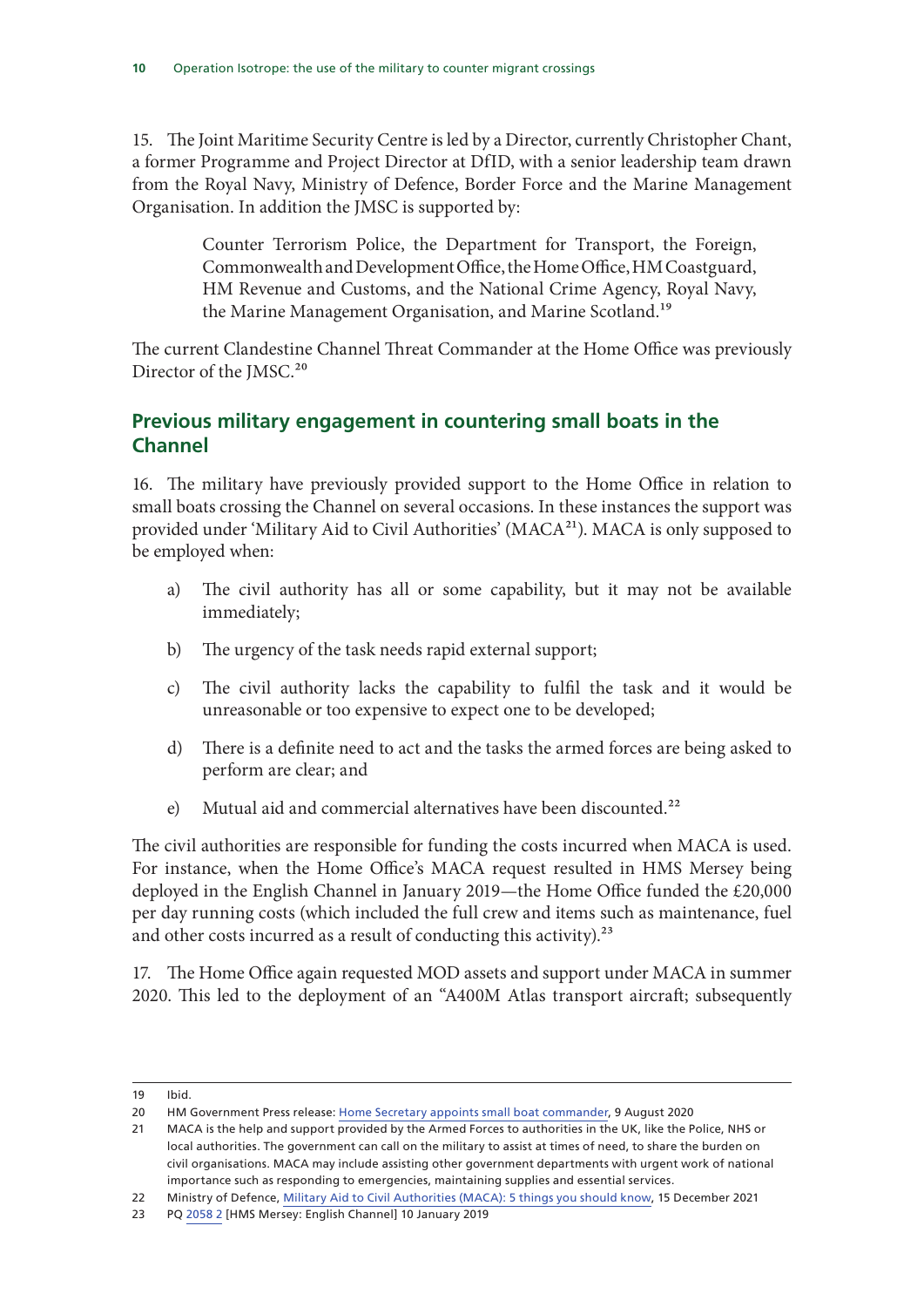15. The Joint Maritime Security Centre is led by a Director, currently Christopher Chant, a former Programme and Project Director at DfID, with a senior leadership team drawn from the Royal Navy, Ministry of Defence, Border Force and the Marine Management Organisation. In addition the JMSC is supported by:

> Counter Terrorism Police, the Department for Transport, the Foreign, Commonwealth and Development Office, the Home Office, HM Coastguard, HM Revenue and Customs, and the National Crime Agency, Royal Navy, the Marine Management Organisation, and Marine Scotland.<sup>19</sup>

The current Clandestine Channel Threat Commander at the Home Office was previously Director of the JMSC.<sup>20</sup>

#### **Previous military engagement in countering small boats in the Channel**

16. The military have previously provided support to the Home Office in relation to small boats crossing the Channel on several occasions. In these instances the support was provided under 'Military Aid to Civil Authorities' (MACA<sup>21</sup>). MACA is only supposed to be employed when:

- a) The civil authority has all or some capability, but it may not be available immediately;
- b) The urgency of the task needs rapid external support;
- c) The civil authority lacks the capability to fulfil the task and it would be unreasonable or too expensive to expect one to be developed;
- d) There is a definite need to act and the tasks the armed forces are being asked to perform are clear; and
- e) Mutual aid and commercial alternatives have been discounted.<sup>22</sup>

The civil authorities are responsible for funding the costs incurred when MACA is used. For instance, when the Home Office's MACA request resulted in HMS Mersey being deployed in the English Channel in January 2019—the Home Office funded the £20,000 per day running costs (which included the full crew and items such as maintenance, fuel and other costs incurred as a result of conducting this activity). $^{23}$ 

17. The Home Office again requested MOD assets and support under MACA in summer 2020. This led to the deployment of an "A400M Atlas transport aircraft; subsequently

<sup>19</sup> Ibid.

<sup>20</sup> HM Government Press release: Home Secretary appoints small boat commander, 9 August 2020

<sup>21</sup> MACA is the help and support provided by the Armed Forces to authorities in the UK, like the Police, NHS or local authorities. The government can call on the military to assist at times of need, to share the burden on civil organisations. MACA may include assisting other government departments with urgent work of national importance such as responding to emergencies, maintaining supplies and essential services.

<sup>22</sup> Ministry of Defence, Military Aid to Civil Authorities (MACA): 5 things you should know, 15 December 2021

<sup>23</sup> PQ 2058 2 [HMS Mersey: English Channel] 10 January 2019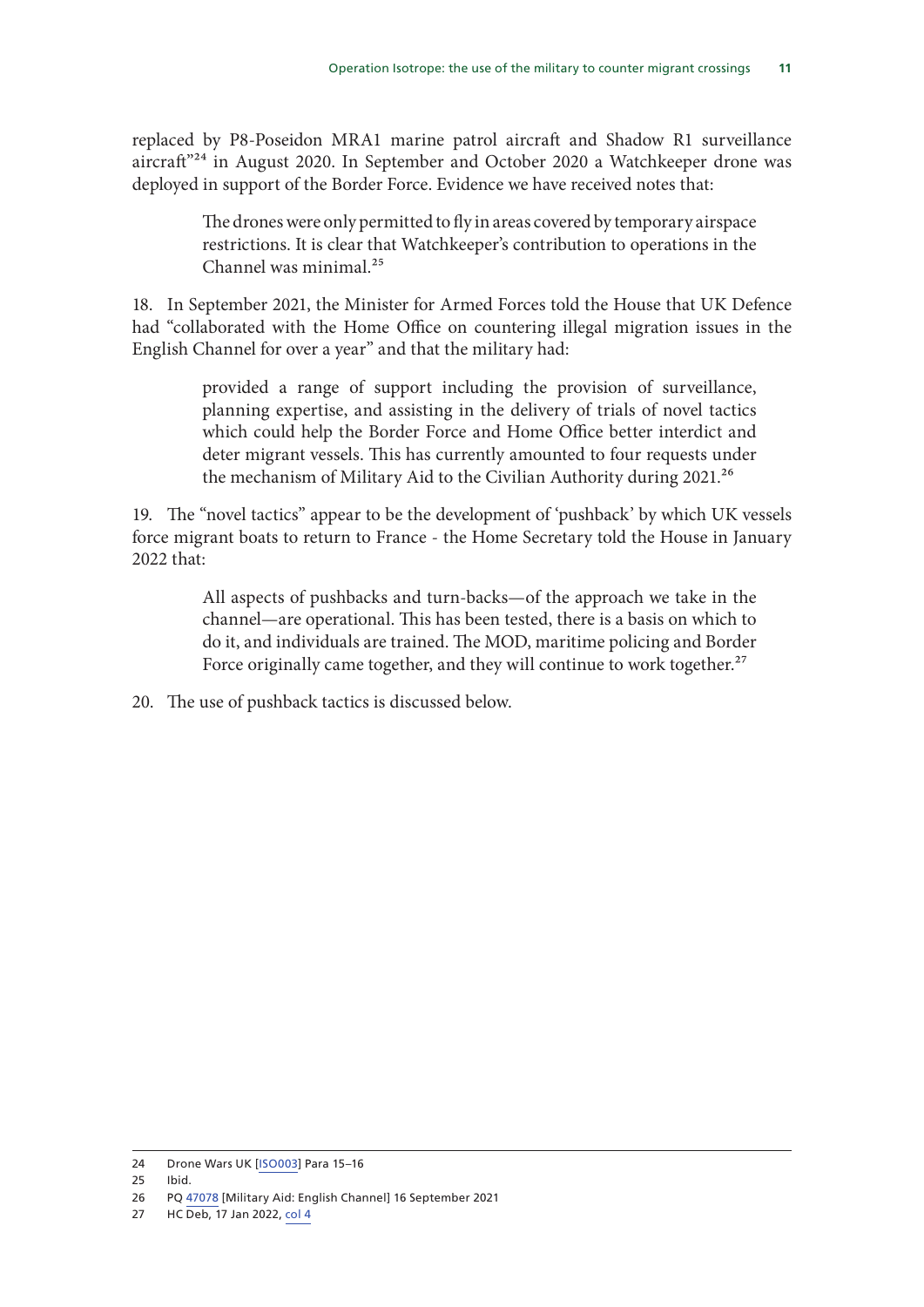replaced by P8-Poseidon MRA1 marine patrol aircraft and Shadow R1 surveillance aircraft<sup>"24</sup> in August 2020. In September and October 2020 a Watchkeeper drone was deployed in support of the Border Force. Evidence we have received notes that:

> The drones were only permitted to fly in areas covered by temporary airspace restrictions. It is clear that Watchkeeper's contribution to operations in the Channel was minimal<sup>25</sup>

18. In September 2021, the Minister for Armed Forces told the House that UK Defence had "collaborated with the Home Office on countering illegal migration issues in the English Channel for over a year" and that the military had:

> provided a range of support including the provision of surveillance, planning expertise, and assisting in the delivery of trials of novel tactics which could help the Border Force and Home Office better interdict and deter migrant vessels. This has currently amounted to four requests under the mechanism of Military Aid to the Civilian Authority during 2021.<sup>26</sup>

19. The "novel tactics" appear to be the development of 'pushback' by which UK vessels force migrant boats to return to France - the Home Secretary told the House in January 2022 that:

> All aspects of pushbacks and turn-backs—of the approach we take in the channel—are operational. This has been tested, there is a basis on which to do it, and individuals are trained. The MOD, maritime policing and Border Force originally came together, and they will continue to work together.<sup>27</sup>

20. The use of pushback tactics is discussed below.

<sup>24</sup> Drone Wars UK [ISO003] Para 15–16

<sup>25</sup> Ibid.

<sup>26</sup> PQ 47078 [Military Aid: English Channel] 16 September 2021

<sup>27</sup> HC Deb, 17 Jan 2022, col 4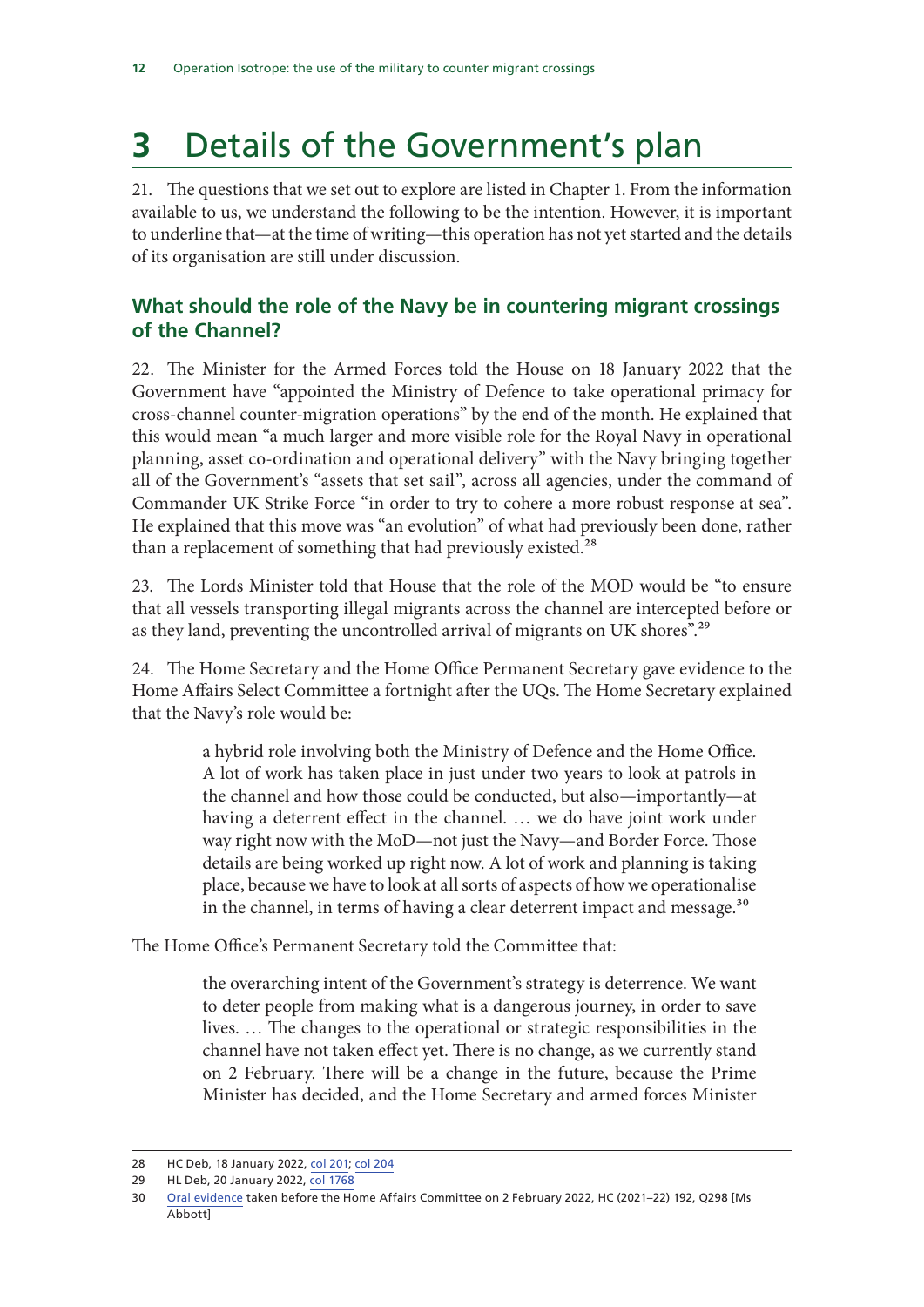## **3** Details of the Government's plan

21. The questions that we set out to explore are listed in Chapter 1. From the information available to us, we understand the following to be the intention. However, it is important to underline that—at the time of writing—this operation has not yet started and the details of its organisation are still under discussion.

#### **What should the role of the Navy be in countering migrant crossings of the Channel?**

22. The Minister for the Armed Forces told the House on 18 January 2022 that the Government have "appointed the Ministry of Defence to take operational primacy for cross-channel counter-migration operations" by the end of the month. He explained that this would mean "a much larger and more visible role for the Royal Navy in operational planning, asset co-ordination and operational delivery" with the Navy bringing together all of the Government's "assets that set sail", across all agencies, under the command of Commander UK Strike Force "in order to try to cohere a more robust response at sea". He explained that this move was "an evolution" of what had previously been done, rather than a replacement of something that had previously existed.<sup>28</sup>

23. The Lords Minister told that House that the role of the MOD would be "to ensure that all vessels transporting illegal migrants across the channel are intercepted before or as they land, preventing the uncontrolled arrival of migrants on UK shores".<sup>29</sup>

24. The Home Secretary and the Home Office Permanent Secretary gave evidence to the Home Affairs Select Committee a fortnight after the UQs. The Home Secretary explained that the Navy's role would be:

> a hybrid role involving both the Ministry of Defence and the Home Office. A lot of work has taken place in just under two years to look at patrols in the channel and how those could be conducted, but also—importantly—at having a deterrent effect in the channel. … we do have joint work under way right now with the MoD—not just the Navy—and Border Force. Those details are being worked up right now. A lot of work and planning is taking place, because we have to look at all sorts of aspects of how we operationalise in the channel, in terms of having a clear deterrent impact and message.<sup>30</sup>

The Home Office's Permanent Secretary told the Committee that:

the overarching intent of the Government's strategy is deterrence. We want to deter people from making what is a dangerous journey, in order to save lives. … The changes to the operational or strategic responsibilities in the channel have not taken effect yet. There is no change, as we currently stand on 2 February. There will be a change in the future, because the Prime Minister has decided, and the Home Secretary and armed forces Minister

<sup>28</sup> HC Deb, 18 January 2022, col 201; col 204

<sup>29</sup> HL Deb, 20 January 2022, col 1768

<sup>30</sup> Oral evidence taken before the Home Affairs Committee on 2 February 2022, HC (2021–22) 192, Q298 [Ms Abbott]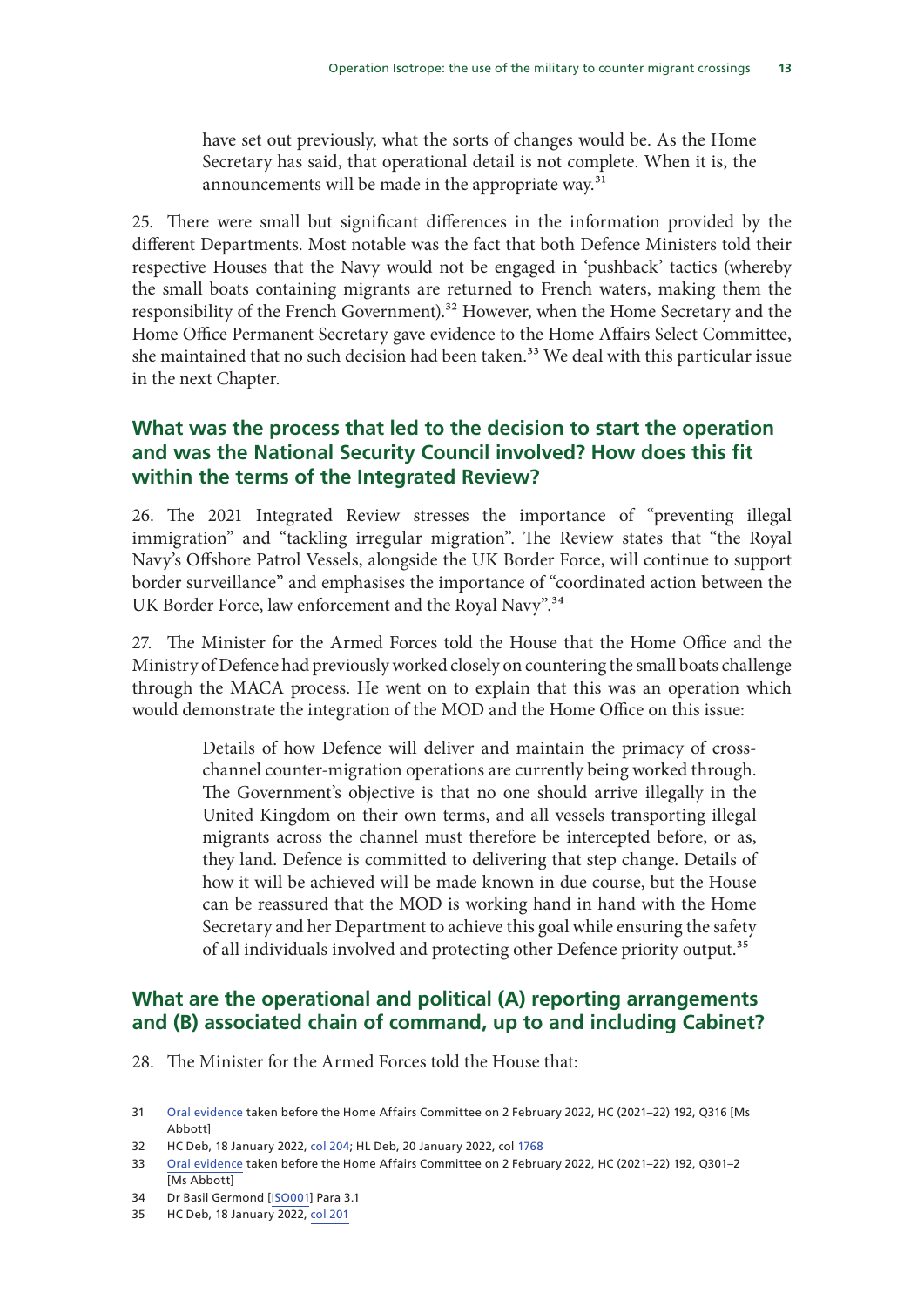have set out previously, what the sorts of changes would be. As the Home Secretary has said, that operational detail is not complete. When it is, the announcements will be made in the appropriate way.<sup>31</sup>

25. There were small but significant differences in the information provided by the different Departments. Most notable was the fact that both Defence Ministers told their respective Houses that the Navy would not be engaged in 'pushback' tactics (whereby the small boats containing migrants are returned to French waters, making them the responsibility of the French Government).<sup>32</sup> However, when the Home Secretary and the Home Office Permanent Secretary gave evidence to the Home Affairs Select Committee, she maintained that no such decision had been taken.<sup>33</sup> We deal with this particular issue in the next Chapter.

#### **What was the process that led to the decision to start the operation and was the National Security Council involved? How does this fit within the terms of the Integrated Review?**

26. The 2021 Integrated Review stresses the importance of "preventing illegal immigration" and "tackling irregular migration". The Review states that "the Royal Navy's Offshore Patrol Vessels, alongside the UK Border Force, will continue to support border surveillance" and emphasises the importance of "coordinated action between the UK Border Force, law enforcement and the Royal Navy".<sup>34</sup>

27. The Minister for the Armed Forces told the House that the Home Office and the Ministry of Defence had previously worked closely on countering the small boats challenge through the MACA process. He went on to explain that this was an operation which would demonstrate the integration of the MOD and the Home Office on this issue:

> Details of how Defence will deliver and maintain the primacy of crosschannel counter-migration operations are currently being worked through. The Government's objective is that no one should arrive illegally in the United Kingdom on their own terms, and all vessels transporting illegal migrants across the channel must therefore be intercepted before, or as, they land. Defence is committed to delivering that step change. Details of how it will be achieved will be made known in due course, but the House can be reassured that the MOD is working hand in hand with the Home Secretary and her Department to achieve this goal while ensuring the safety of all individuals involved and protecting other Defence priority output.<sup>35</sup>

#### **What are the operational and political (A) reporting arrangements and (B) associated chain of command, up to and including Cabinet?**

28. The Minister for the Armed Forces told the House that:

<sup>31</sup> Oral evidence taken before the Home Affairs Committee on 2 February 2022, HC (2021–22) 192, Q316 [Ms Abbott]

<sup>32</sup> HC Deb, 18 January 2022, col 204; HL Deb, 20 January 2022, col 1768

<sup>33</sup> Oral evidence taken before the Home Affairs Committee on 2 February 2022, HC (2021–22) 192, Q301–2 [Ms Abbott]

<sup>34</sup> Dr Basil Germond [ISO001] Para 3.1

<sup>35</sup> HC Deb, 18 January 2022, col 201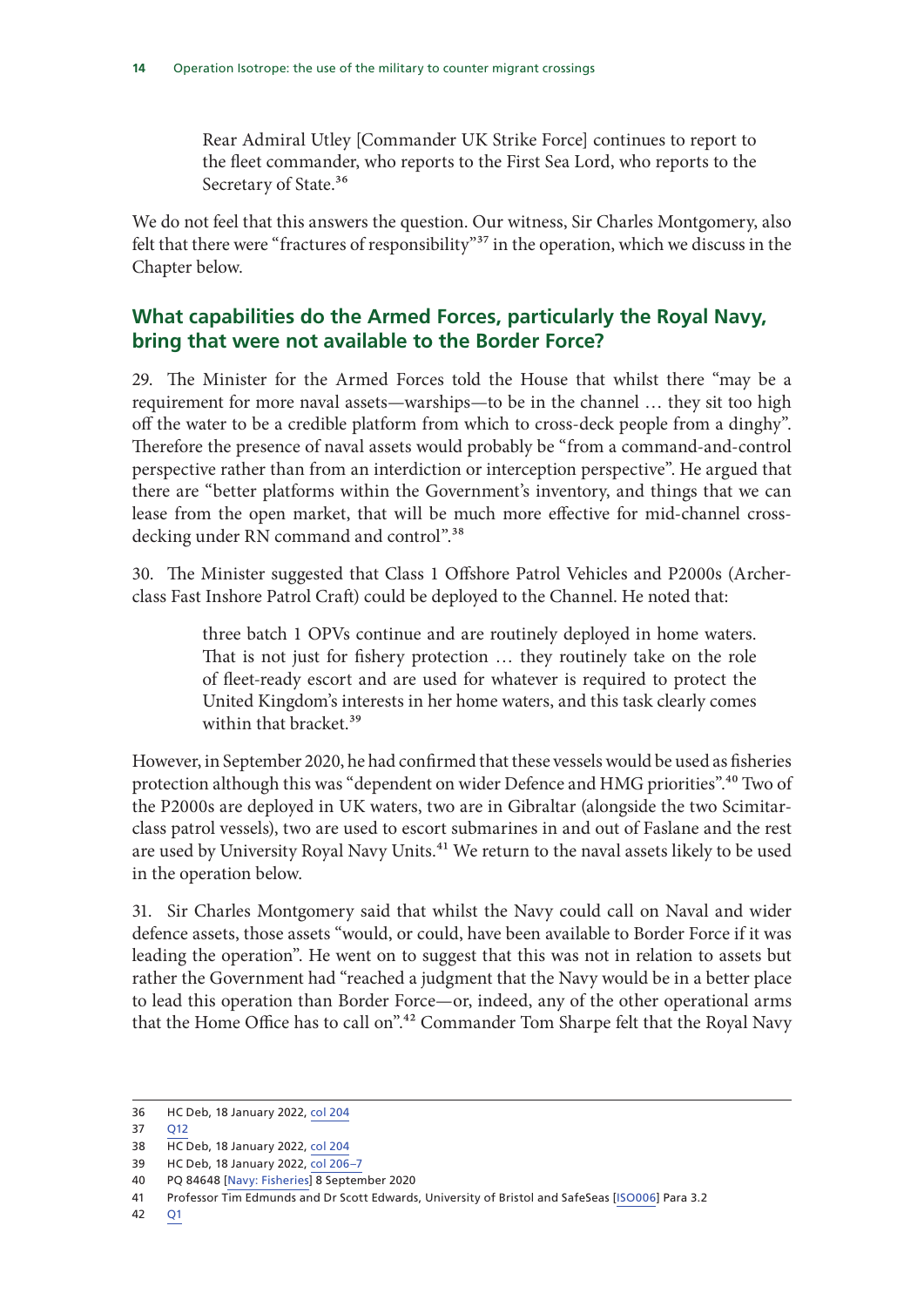Rear Admiral Utley [Commander UK Strike Force] continues to report to the fleet commander, who reports to the First Sea Lord, who reports to the Secretary of State.<sup>36</sup>

We do not feel that this answers the question. Our witness, Sir Charles Montgomery, also felt that there were "fractures of responsibility"<sup>37</sup> in the operation, which we discuss in the Chapter below.

#### **What capabilities do the Armed Forces, particularly the Royal Navy, bring that were not available to the Border Force?**

29. The Minister for the Armed Forces told the House that whilst there "may be a requirement for more naval assets—warships—to be in the channel … they sit too high off the water to be a credible platform from which to cross-deck people from a dinghy". Therefore the presence of naval assets would probably be "from a command-and-control perspective rather than from an interdiction or interception perspective". He argued that there are "better platforms within the Government's inventory, and things that we can lease from the open market, that will be much more effective for mid-channel crossdecking under RN command and control".<sup>38</sup>

30. The Minister suggested that Class 1 Offshore Patrol Vehicles and P2000s (Archerclass Fast Inshore Patrol Craft) could be deployed to the Channel. He noted that:

> three batch 1 OPVs continue and are routinely deployed in home waters. That is not just for fishery protection … they routinely take on the role of fleet-ready escort and are used for whatever is required to protect the United Kingdom's interests in her home waters, and this task clearly comes within that bracket.<sup>39</sup>

However, in September 2020, he had confirmed that these vessels would be used as fisheries protection although this was "dependent on wider Defence and HMG priorities".<sup>40</sup> Two of the P2000s are deployed in UK waters, two are in Gibraltar (alongside the two Scimitarclass patrol vessels), two are used to escort submarines in and out of Faslane and the rest are used by University Royal Navy Units.<sup>41</sup> We return to the naval assets likely to be used in the operation below.

31. Sir Charles Montgomery said that whilst the Navy could call on Naval and wider defence assets, those assets "would, or could, have been available to Border Force if it was leading the operation". He went on to suggest that this was not in relation to assets but rather the Government had "reached a judgment that the Navy would be in a better place to lead this operation than Border Force—or, indeed, any of the other operational arms that the Home Office has to call on".<sup>42</sup> Commander Tom Sharpe felt that the Royal Navy

<sup>36</sup> HC Deb, 18 January 2022, col 204

<sup>37</sup> Q12

<sup>38</sup> HC Deb, 18 January 2022, col 204

<sup>39</sup> HC Deb, 18 January 2022, col 206–7

<sup>40</sup> PQ 84648 [Navy: Fisheries] 8 September 2020

<sup>41</sup> Professor Tim Edmunds and Dr Scott Edwards, University of Bristol and SafeSeas [ISO006] Para 3.2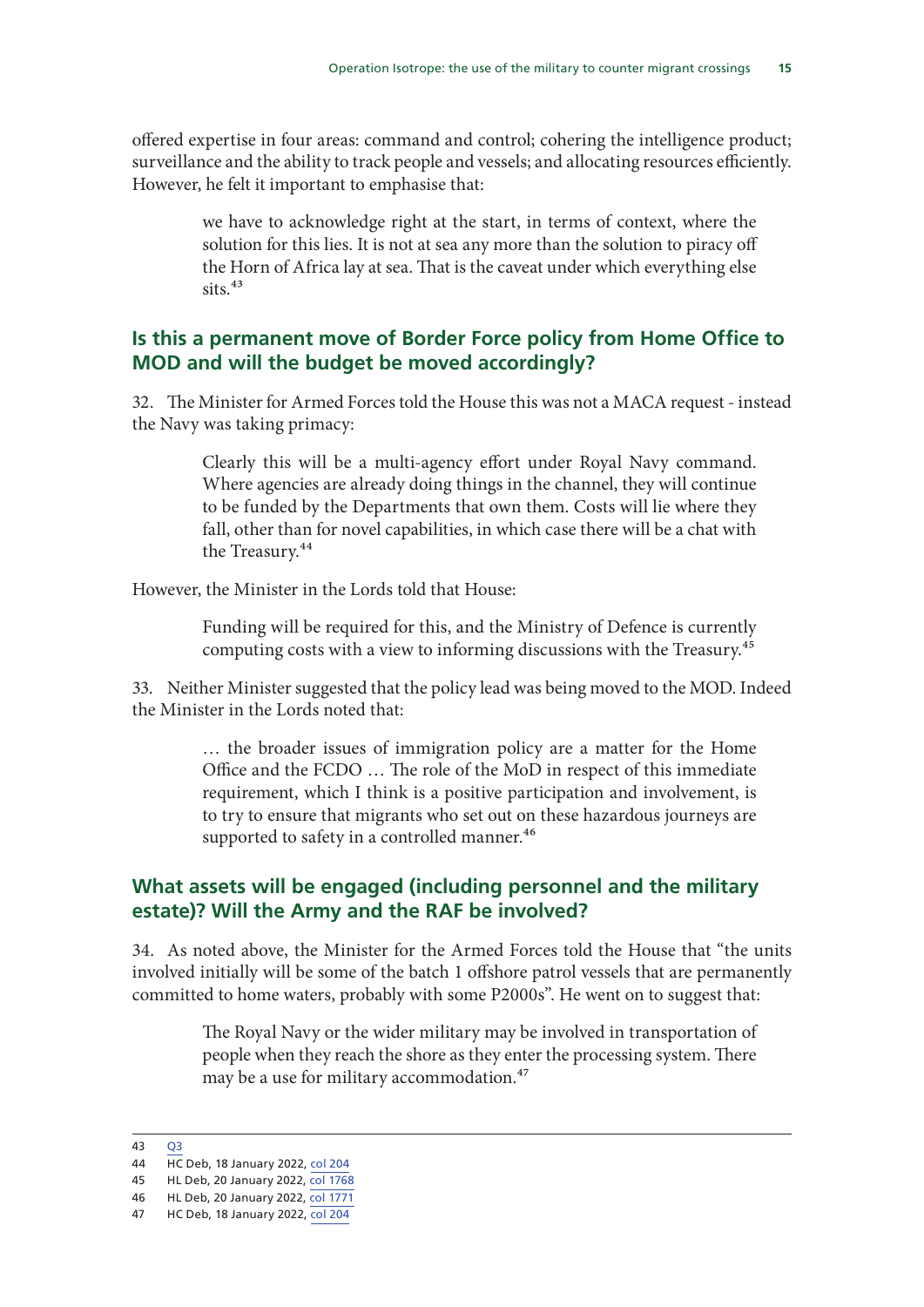offered expertise in four areas: command and control; cohering the intelligence product; surveillance and the ability to track people and vessels; and allocating resources efficiently. However, he felt it important to emphasise that:

> we have to acknowledge right at the start, in terms of context, where the solution for this lies. It is not at sea any more than the solution to piracy off the Horn of Africa lay at sea. That is the caveat under which everything else  $sits.<sup>43</sup>$

#### **Is this a permanent move of Border Force policy from Home Office to MOD and will the budget be moved accordingly?**

32. The Minister for Armed Forces told the House this was not a MACA request - instead the Navy was taking primacy:

> Clearly this will be a multi-agency effort under Royal Navy command. Where agencies are already doing things in the channel, they will continue to be funded by the Departments that own them. Costs will lie where they fall, other than for novel capabilities, in which case there will be a chat with the Treasury.<sup>44</sup>

However, the Minister in the Lords told that House:

Funding will be required for this, and the Ministry of Defence is currently computing costs with a view to informing discussions with the Treasury.45

33. Neither Minister suggested that the policy lead was being moved to the MOD. Indeed the Minister in the Lords noted that:

> … the broader issues of immigration policy are a matter for the Home Office and the FCDO … The role of the MoD in respect of this immediate requirement, which I think is a positive participation and involvement, is to try to ensure that migrants who set out on these hazardous journeys are supported to safety in a controlled manner.<sup>46</sup>

#### **What assets will be engaged (including personnel and the military estate)? Will the Army and the RAF be involved?**

34. As noted above, the Minister for the Armed Forces told the House that "the units involved initially will be some of the batch 1 offshore patrol vessels that are permanently committed to home waters, probably with some P2000s". He went on to suggest that:

> The Royal Navy or the wider military may be involved in transportation of people when they reach the shore as they enter the processing system. There may be a use for military accommodation.<sup>47</sup>

<sup>43</sup> Q3

<sup>44</sup> HC Deb, 18 January 2022, col 204

<sup>45</sup> HL Deb, 20 January 2022, col 1768

<sup>46</sup> HL Deb, 20 January 2022, col 1771 47 HC Deb, 18 January 2022, col 204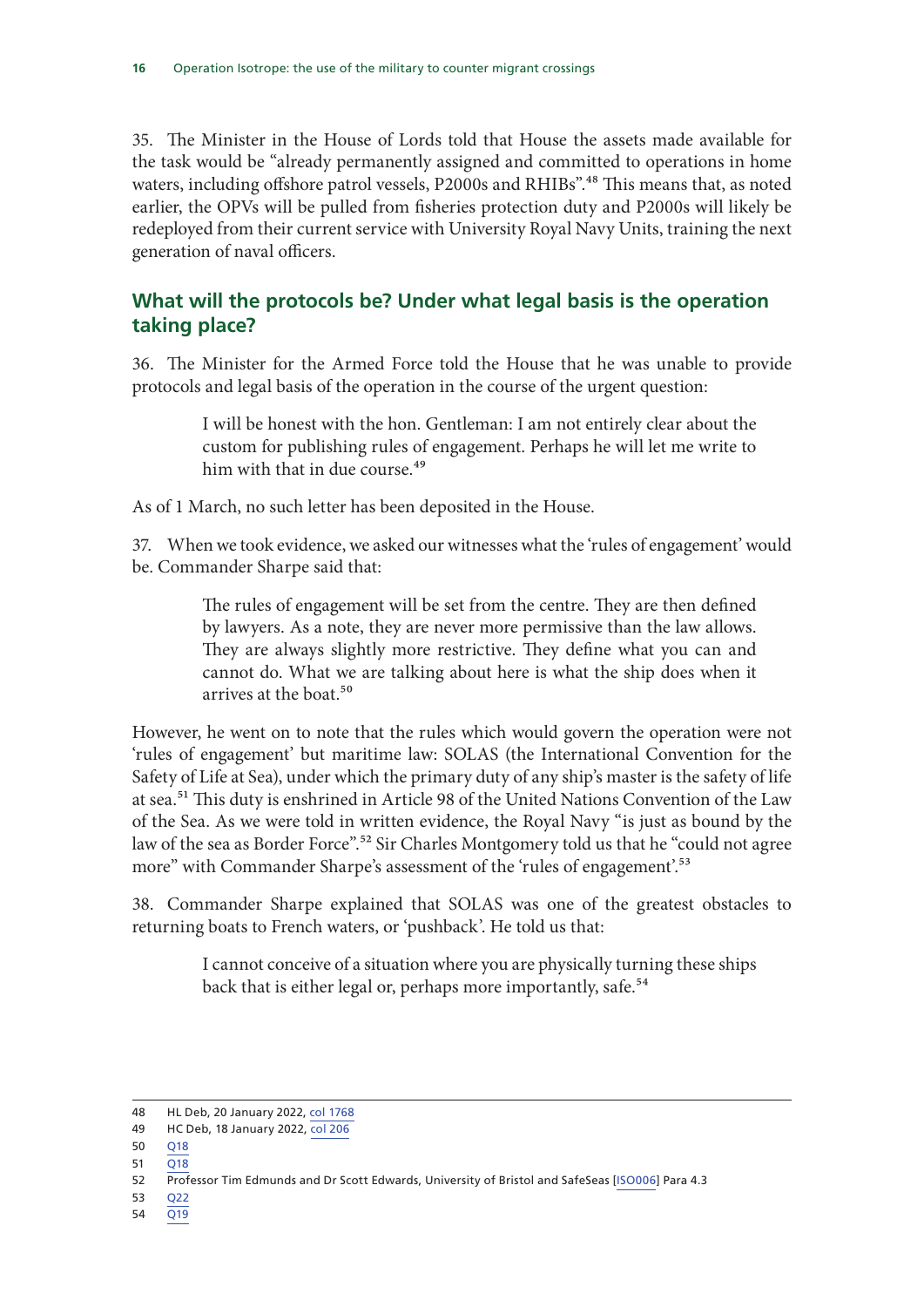35. The Minister in the House of Lords told that House the assets made available for the task would be "already permanently assigned and committed to operations in home waters, including offshore patrol vessels, P2000s and RHIBs".<sup>48</sup> This means that, as noted earlier, the OPVs will be pulled from fisheries protection duty and P2000s will likely be redeployed from their current service with University Royal Navy Units, training the next generation of naval officers.

#### **What will the protocols be? Under what legal basis is the operation taking place?**

36. The Minister for the Armed Force told the House that he was unable to provide protocols and legal basis of the operation in the course of the urgent question:

> I will be honest with the hon. Gentleman: I am not entirely clear about the custom for publishing rules of engagement. Perhaps he will let me write to him with that in due course.<sup>49</sup>

As of 1 March, no such letter has been deposited in the House.

37. When we took evidence, we asked our witnesses what the 'rules of engagement' would be. Commander Sharpe said that:

> The rules of engagement will be set from the centre. They are then defined by lawyers. As a note, they are never more permissive than the law allows. They are always slightly more restrictive. They define what you can and cannot do. What we are talking about here is what the ship does when it arrives at the boat.50

However, he went on to note that the rules which would govern the operation were not 'rules of engagement' but maritime law: SOLAS (the International Convention for the Safety of Life at Sea), under which the primary duty of any ship's master is the safety of life at sea.<sup>51</sup> This duty is enshrined in Article 98 of the United Nations Convention of the Law of the Sea. As we were told in written evidence, the Royal Navy "is just as bound by the law of the sea as Border Force".<sup>52</sup> Sir Charles Montgomery told us that he "could not agree more" with Commander Sharpe's assessment of the 'rules of engagement'.<sup>53</sup>

38. Commander Sharpe explained that SOLAS was one of the greatest obstacles to returning boats to French waters, or 'pushback'. He told us that:

> I cannot conceive of a situation where you are physically turning these ships back that is either legal or, perhaps more importantly, safe.<sup>54</sup>

- 50 Q18
- $51 \overline{O18}$

- 53 Q22
- 54 Q19

<sup>48</sup> HL Deb, 20 January 2022, col 1768

<sup>49</sup> HC Deb, 18 January 2022, col 206

<sup>52</sup> Professor Tim Edmunds and Dr Scott Edwards, University of Bristol and SafeSeas [ISO006] Para 4.3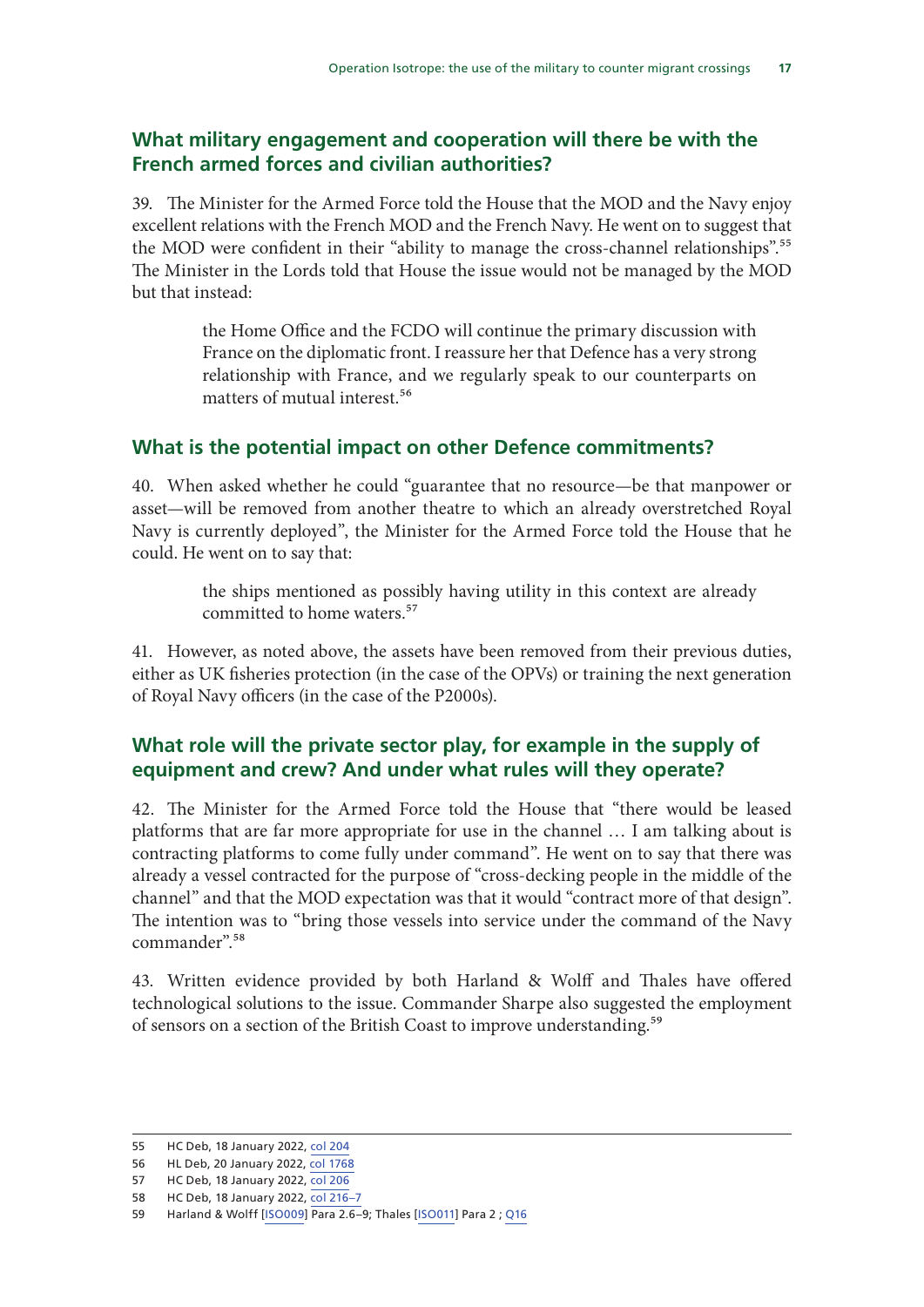#### **What military engagement and cooperation will there be with the French armed forces and civilian authorities?**

39. The Minister for the Armed Force told the House that the MOD and the Navy enjoy excellent relations with the French MOD and the French Navy. He went on to suggest that the MOD were confident in their "ability to manage the cross-channel relationships".<sup>55</sup> The Minister in the Lords told that House the issue would not be managed by the MOD but that instead:

> the Home Office and the FCDO will continue the primary discussion with France on the diplomatic front. I reassure her that Defence has a very strong relationship with France, and we regularly speak to our counterparts on matters of mutual interest.<sup>56</sup>

#### **What is the potential impact on other Defence commitments?**

40. When asked whether he could "guarantee that no resource—be that manpower or asset—will be removed from another theatre to which an already overstretched Royal Navy is currently deployed", the Minister for the Armed Force told the House that he could. He went on to say that:

> the ships mentioned as possibly having utility in this context are already committed to home waters.<sup>57</sup>

41. However, as noted above, the assets have been removed from their previous duties, either as UK fisheries protection (in the case of the OPVs) or training the next generation of Royal Navy officers (in the case of the P2000s).

#### **What role will the private sector play, for example in the supply of equipment and crew? And under what rules will they operate?**

42. The Minister for the Armed Force told the House that "there would be leased platforms that are far more appropriate for use in the channel … I am talking about is contracting platforms to come fully under command". He went on to say that there was already a vessel contracted for the purpose of "cross-decking people in the middle of the channel" and that the MOD expectation was that it would "contract more of that design". The intention was to "bring those vessels into service under the command of the Navy commander".58

43. Written evidence provided by both Harland & Wolff and Thales have offered technological solutions to the issue. Commander Sharpe also suggested the employment of sensors on a section of the British Coast to improve understanding.<sup>59</sup>

<sup>55</sup> HC Deb, 18 January 2022, col 204

<sup>56</sup> HL Deb, 20 January 2022, col 1768

<sup>57</sup> HC Deb, 18 January 2022, col 206

<sup>58</sup> HC Deb, 18 January 2022, col 216–7

<sup>59</sup> Harland & Wolff [ISO009] Para 2.6–9; Thales [ISO011] Para 2 ; Q16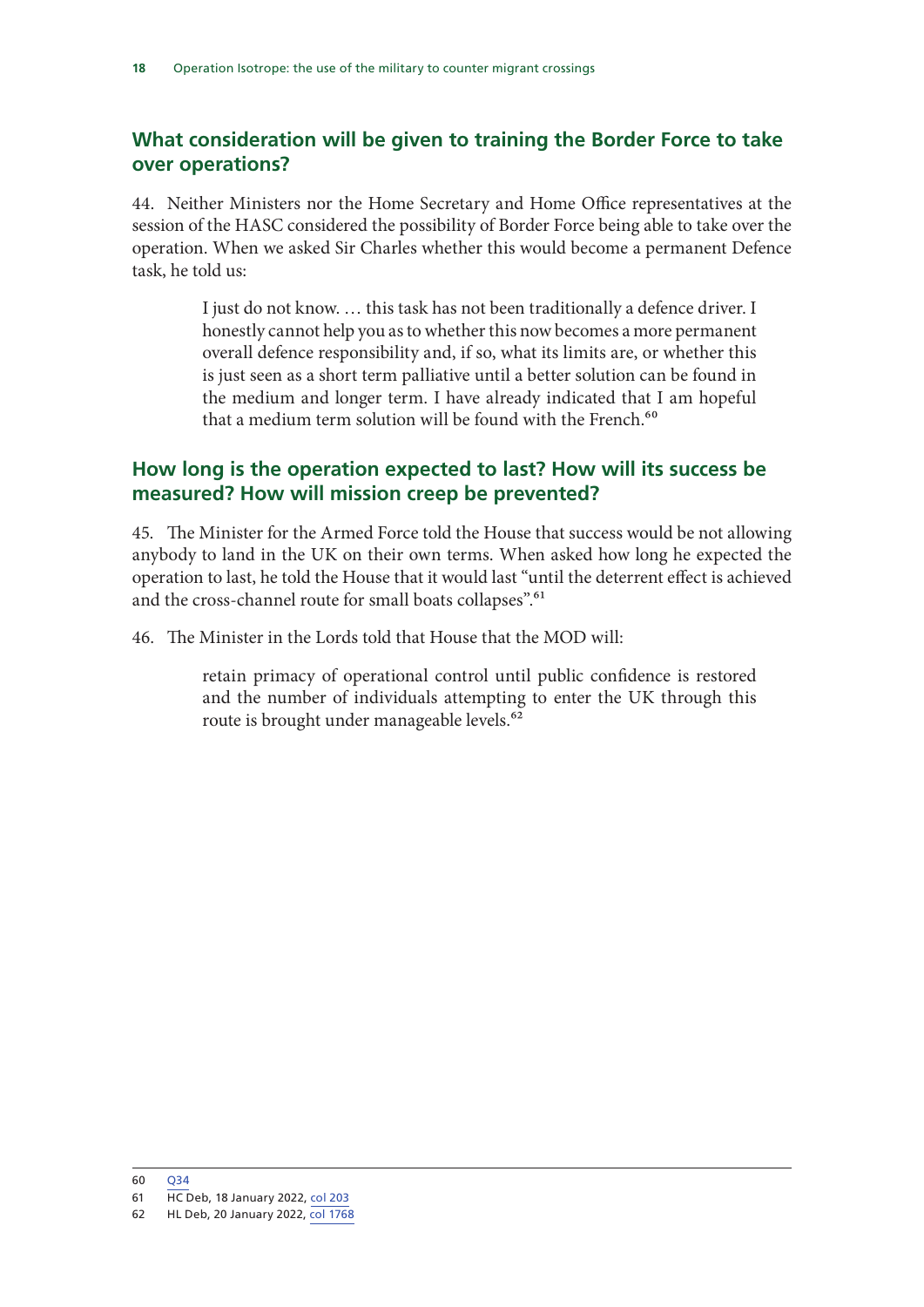#### **What consideration will be given to training the Border Force to take over operations?**

44. Neither Ministers nor the Home Secretary and Home Office representatives at the session of the HASC considered the possibility of Border Force being able to take over the operation. When we asked Sir Charles whether this would become a permanent Defence task, he told us:

> I just do not know. … this task has not been traditionally a defence driver. I honestly cannot help you as to whether this now becomes a more permanent overall defence responsibility and, if so, what its limits are, or whether this is just seen as a short term palliative until a better solution can be found in the medium and longer term. I have already indicated that I am hopeful that a medium term solution will be found with the French.<sup>60</sup>

#### **How long is the operation expected to last? How will its success be measured? How will mission creep be prevented?**

45. The Minister for the Armed Force told the House that success would be not allowing anybody to land in the UK on their own terms. When asked how long he expected the operation to last, he told the House that it would last "until the deterrent effect is achieved and the cross-channel route for small boats collapses".<sup>61</sup>

46. The Minister in the Lords told that House that the MOD will:

retain primacy of operational control until public confidence is restored and the number of individuals attempting to enter the UK through this route is brought under manageable levels.<sup>62</sup>

<sup>60</sup> Q34

<sup>61</sup> HC Deb, 18 January 2022, col 203

<sup>62</sup> HL Deb, 20 January 2022, col 1768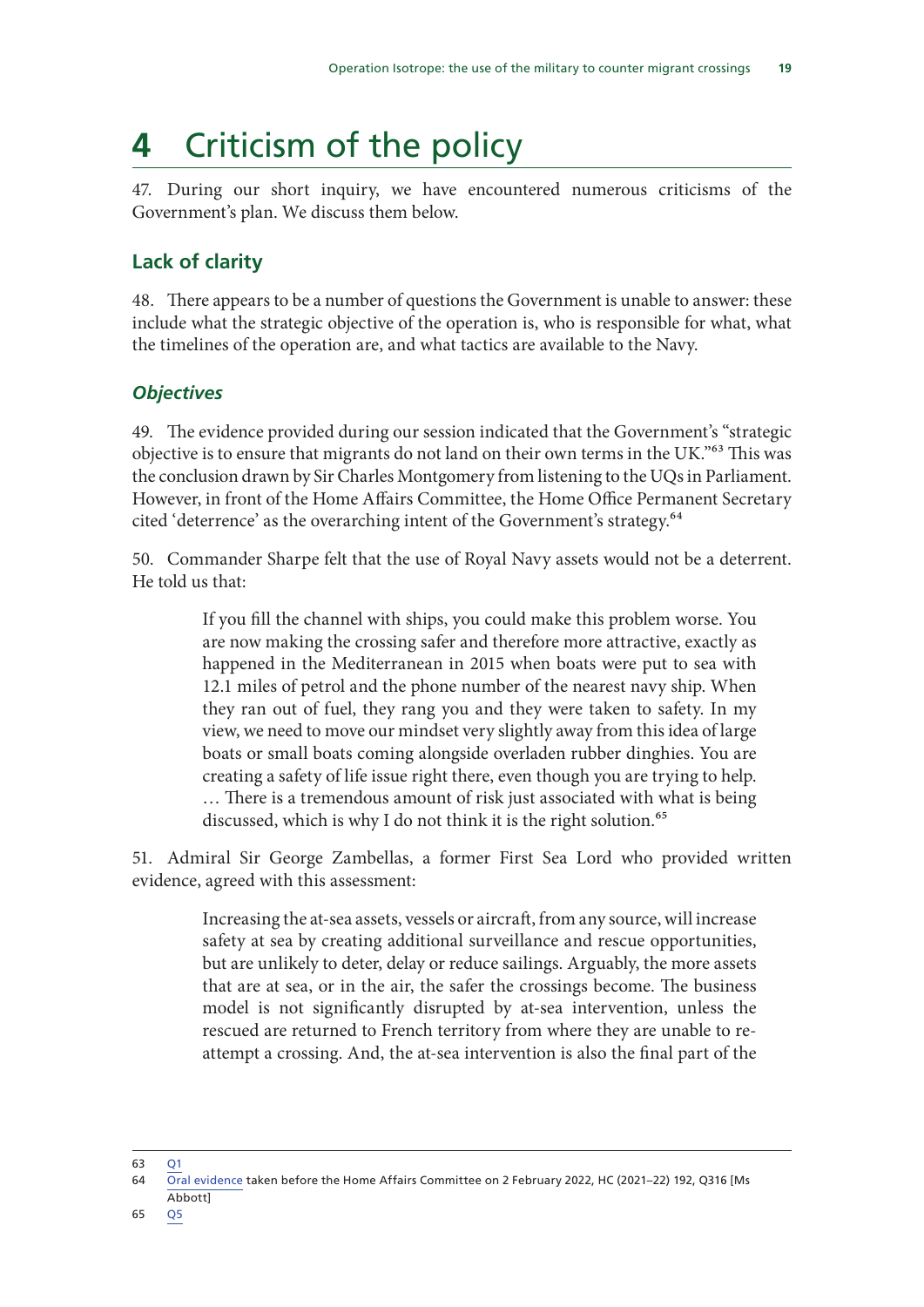## **4** Criticism of the policy

47. During our short inquiry, we have encountered numerous criticisms of the Government's plan. We discuss them below.

#### **Lack of clarity**

48. There appears to be a number of questions the Government is unable to answer: these include what the strategic objective of the operation is, who is responsible for what, what the timelines of the operation are, and what tactics are available to the Navy.

#### *Objectives*

49. The evidence provided during our session indicated that the Government's "strategic objective is to ensure that migrants do not land on their own terms in the UK."63 This was the conclusion drawn by Sir Charles Montgomery from listening to the UQs in Parliament. However, in front of the Home Affairs Committee, the Home Office Permanent Secretary cited 'deterrence' as the overarching intent of the Government's strategy.<sup>64</sup>

50. Commander Sharpe felt that the use of Royal Navy assets would not be a deterrent. He told us that:

> If you fill the channel with ships, you could make this problem worse. You are now making the crossing safer and therefore more attractive, exactly as happened in the Mediterranean in 2015 when boats were put to sea with 12.1 miles of petrol and the phone number of the nearest navy ship. When they ran out of fuel, they rang you and they were taken to safety. In my view, we need to move our mindset very slightly away from this idea of large boats or small boats coming alongside overladen rubber dinghies. You are creating a safety of life issue right there, even though you are trying to help. … There is a tremendous amount of risk just associated with what is being discussed, which is why I do not think it is the right solution.<sup>65</sup>

51. Admiral Sir George Zambellas, a former First Sea Lord who provided written evidence, agreed with this assessment:

> Increasing the at-sea assets, vessels or aircraft, from any source, will increase safety at sea by creating additional surveillance and rescue opportunities, but are unlikely to deter, delay or reduce sailings. Arguably, the more assets that are at sea, or in the air, the safer the crossings become. The business model is not significantly disrupted by at-sea intervention, unless the rescued are returned to French territory from where they are unable to reattempt a crossing. And, the at-sea intervention is also the final part of the

63 Q1

Abbott] 65 Q5

<sup>64</sup> Oral evidence taken before the Home Affairs Committee on 2 February 2022, HC (2021–22) 192, Q316 [Ms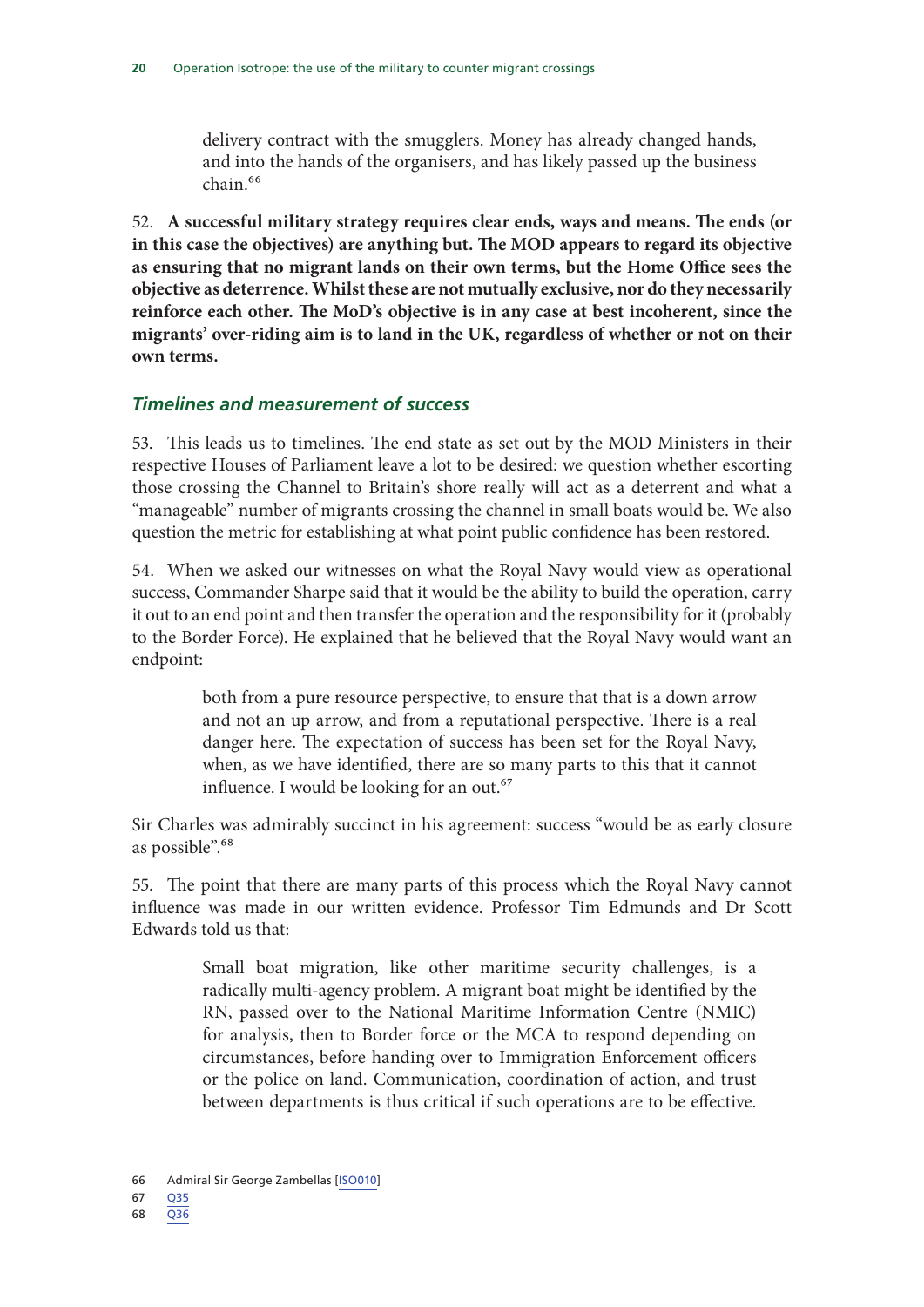delivery contract with the smugglers. Money has already changed hands, and into the hands of the organisers, and has likely passed up the business  $chain<sup>66</sup>$ 

52. **A successful military strategy requires clear ends, ways and means. The ends (or in this case the objectives) are anything but. The MOD appears to regard its objective as ensuring that no migrant lands on their own terms, but the Home Office sees the objective as deterrence. Whilst these are not mutually exclusive, nor do they necessarily reinforce each other. The MoD's objective is in any case at best incoherent, since the migrants' over-riding aim is to land in the UK, regardless of whether or not on their own terms.**

#### *Timelines and measurement of success*

53. This leads us to timelines. The end state as set out by the MOD Ministers in their respective Houses of Parliament leave a lot to be desired: we question whether escorting those crossing the Channel to Britain's shore really will act as a deterrent and what a "manageable" number of migrants crossing the channel in small boats would be. We also question the metric for establishing at what point public confidence has been restored.

54. When we asked our witnesses on what the Royal Navy would view as operational success, Commander Sharpe said that it would be the ability to build the operation, carry it out to an end point and then transfer the operation and the responsibility for it (probably to the Border Force). He explained that he believed that the Royal Navy would want an endpoint:

> both from a pure resource perspective, to ensure that that is a down arrow and not an up arrow, and from a reputational perspective. There is a real danger here. The expectation of success has been set for the Royal Navy, when, as we have identified, there are so many parts to this that it cannot influence. I would be looking for an out.<sup>67</sup>

Sir Charles was admirably succinct in his agreement: success "would be as early closure as possible".<sup>68</sup>

55. The point that there are many parts of this process which the Royal Navy cannot influence was made in our written evidence. Professor Tim Edmunds and Dr Scott Edwards told us that:

> Small boat migration, like other maritime security challenges, is a radically multi-agency problem. A migrant boat might be identified by the RN, passed over to the National Maritime Information Centre (NMIC) for analysis, then to Border force or the MCA to respond depending on circumstances, before handing over to Immigration Enforcement officers or the police on land. Communication, coordination of action, and trust between departments is thus critical if such operations are to be effective.

68 Q36

<sup>66</sup> Admiral Sir George Zambellas [ISO010]

<sup>67</sup> Q35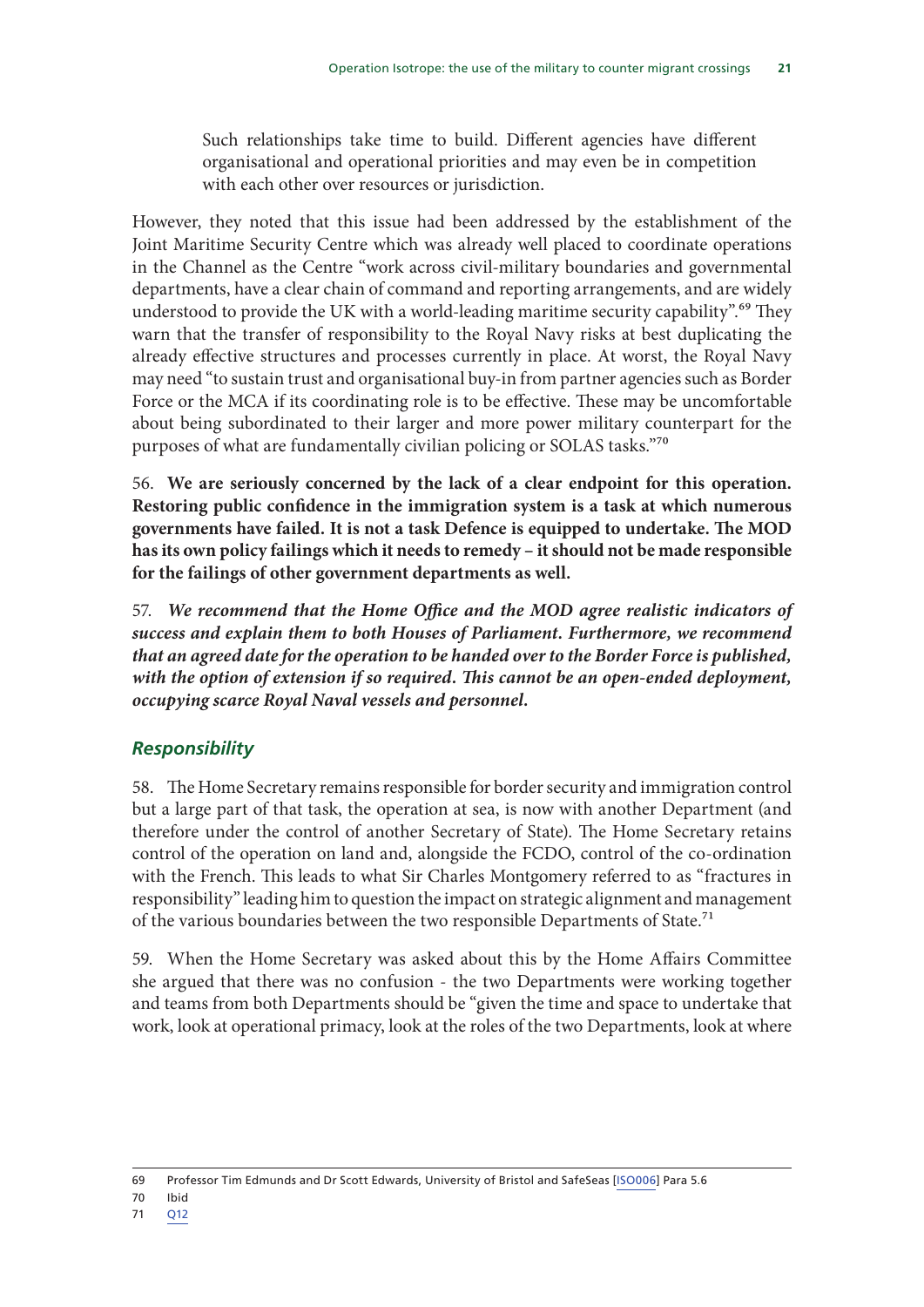Such relationships take time to build. Different agencies have different organisational and operational priorities and may even be in competition with each other over resources or jurisdiction.

However, they noted that this issue had been addressed by the establishment of the Joint Maritime Security Centre which was already well placed to coordinate operations in the Channel as the Centre "work across civil-military boundaries and governmental departments, have a clear chain of command and reporting arrangements, and are widely understood to provide the UK with a world-leading maritime security capability".<sup>69</sup> They warn that the transfer of responsibility to the Royal Navy risks at best duplicating the already effective structures and processes currently in place. At worst, the Royal Navy may need "to sustain trust and organisational buy-in from partner agencies such as Border Force or the MCA if its coordinating role is to be effective. These may be uncomfortable about being subordinated to their larger and more power military counterpart for the purposes of what are fundamentally civilian policing or SOLAS tasks."70

56. **We are seriously concerned by the lack of a clear endpoint for this operation. Restoring public confidence in the immigration system is a task at which numerous governments have failed. It is not a task Defence is equipped to undertake. The MOD has its own policy failings which it needs to remedy – it should not be made responsible for the failings of other government departments as well.**

57. *We recommend that the Home Office and the MOD agree realistic indicators of success and explain them to both Houses of Parliament. Furthermore, we recommend that an agreed date for the operation to be handed over to the Border Force is published, with the option of extension if so required. This cannot be an open-ended deployment, occupying scarce Royal Naval vessels and personnel.*

#### *Responsibility*

58. The Home Secretary remains responsible for border security and immigration control but a large part of that task, the operation at sea, is now with another Department (and therefore under the control of another Secretary of State). The Home Secretary retains control of the operation on land and, alongside the FCDO, control of the co-ordination with the French. This leads to what Sir Charles Montgomery referred to as "fractures in responsibility" leading him to question the impact on strategic alignment and management of the various boundaries between the two responsible Departments of State.<sup>71</sup>

59. When the Home Secretary was asked about this by the Home Affairs Committee she argued that there was no confusion - the two Departments were working together and teams from both Departments should be "given the time and space to undertake that work, look at operational primacy, look at the roles of the two Departments, look at where

70 Ibid

<sup>69</sup> Professor Tim Edmunds and Dr Scott Edwards, University of Bristol and SafeSeas [ISO006] Para 5.6

<sup>71</sup> Q12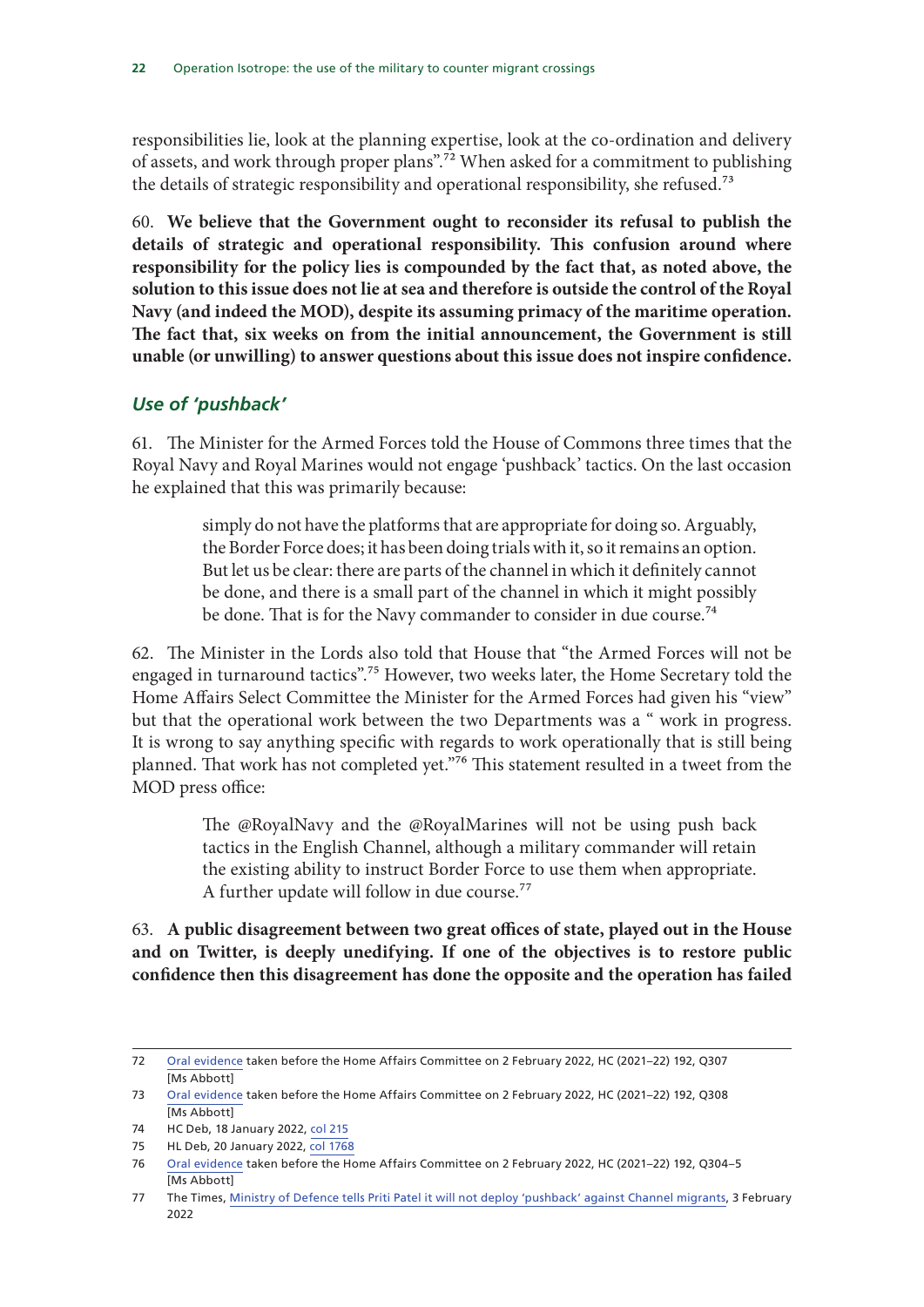responsibilities lie, look at the planning expertise, look at the co-ordination and delivery of assets, and work through proper plans".72 When asked for a commitment to publishing the details of strategic responsibility and operational responsibility, she refused.<sup>73</sup>

60. **We believe that the Government ought to reconsider its refusal to publish the details of strategic and operational responsibility. This confusion around where responsibility for the policy lies is compounded by the fact that, as noted above, the solution to this issue does not lie at sea and therefore is outside the control of the Royal Navy (and indeed the MOD), despite its assuming primacy of the maritime operation. The fact that, six weeks on from the initial announcement, the Government is still unable (or unwilling) to answer questions about this issue does not inspire confidence.**

#### *Use of 'pushback'*

61. The Minister for the Armed Forces told the House of Commons three times that the Royal Navy and Royal Marines would not engage 'pushback' tactics. On the last occasion he explained that this was primarily because:

> simply do not have the platforms that are appropriate for doing so. Arguably, the Border Force does; it has been doing trials with it, so it remains an option. But let us be clear: there are parts of the channel in which it definitely cannot be done, and there is a small part of the channel in which it might possibly be done. That is for the Navy commander to consider in due course.<sup>74</sup>

62. The Minister in the Lords also told that House that "the Armed Forces will not be engaged in turnaround tactics".<sup>75</sup> However, two weeks later, the Home Secretary told the Home Affairs Select Committee the Minister for the Armed Forces had given his "view" but that the operational work between the two Departments was a " work in progress. It is wrong to say anything specific with regards to work operationally that is still being planned. That work has not completed yet."76 This statement resulted in a tweet from the MOD press office:

> The @RoyalNavy and the @RoyalMarines will not be using push back tactics in the English Channel, although a military commander will retain the existing ability to instruct Border Force to use them when appropriate. A further update will follow in due course.<sup>77</sup>

63. **A public disagreement between two great offices of state, played out in the House and on Twitter, is deeply unedifying. If one of the objectives is to restore public confidence then this disagreement has done the opposite and the operation has failed** 

<sup>72</sup> Oral evidence taken before the Home Affairs Committee on 2 February 2022, HC (2021–22) 192, Q307 [Ms Abbott]

<sup>73</sup> Oral evidence taken before the Home Affairs Committee on 2 February 2022, HC (2021–22) 192, Q308 [Ms Abbott]

<sup>74</sup> HC Deb, 18 January 2022, col 215

<sup>75</sup> HL Deb, 20 January 2022, col 1768

<sup>76</sup> Oral evidence taken before the Home Affairs Committee on 2 February 2022, HC (2021–22) 192, Q304–5 [Ms Abbott]

<sup>77</sup> The Times, Ministry of Defence tells Priti Patel it will not deploy 'pushback' against Channel migrants, 3 February 2022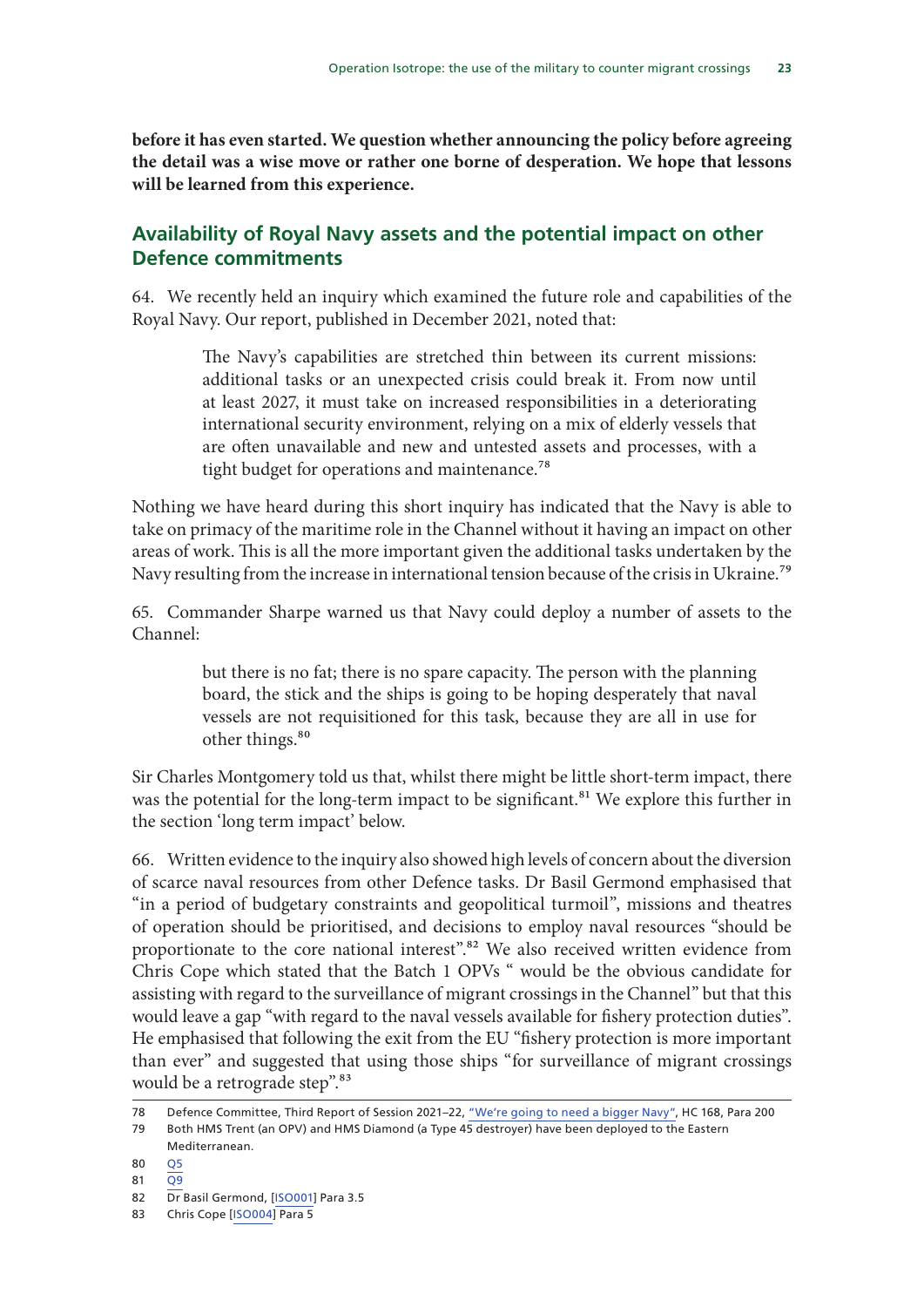**before it has even started. We question whether announcing the policy before agreeing the detail was a wise move or rather one borne of desperation. We hope that lessons will be learned from this experience.**

#### **Availability of Royal Navy assets and the potential impact on other Defence commitments**

64. We recently held an inquiry which examined the future role and capabilities of the Royal Navy. Our report, published in December 2021, noted that:

> The Navy's capabilities are stretched thin between its current missions: additional tasks or an unexpected crisis could break it. From now until at least 2027, it must take on increased responsibilities in a deteriorating international security environment, relying on a mix of elderly vessels that are often unavailable and new and untested assets and processes, with a tight budget for operations and maintenance.<sup>78</sup>

Nothing we have heard during this short inquiry has indicated that the Navy is able to take on primacy of the maritime role in the Channel without it having an impact on other areas of work. This is all the more important given the additional tasks undertaken by the Navy resulting from the increase in international tension because of the crisis in Ukraine.<sup>79</sup>

65. Commander Sharpe warned us that Navy could deploy a number of assets to the Channel:

> but there is no fat; there is no spare capacity. The person with the planning board, the stick and the ships is going to be hoping desperately that naval vessels are not requisitioned for this task, because they are all in use for other things.<sup>80</sup>

Sir Charles Montgomery told us that, whilst there might be little short-term impact, there was the potential for the long-term impact to be significant.<sup>81</sup> We explore this further in the section 'long term impact' below.

66. Written evidence to the inquiry also showed high levels of concern about the diversion of scarce naval resources from other Defence tasks. Dr Basil Germond emphasised that "in a period of budgetary constraints and geopolitical turmoil", missions and theatres of operation should be prioritised, and decisions to employ naval resources "should be proportionate to the core national interest".<sup>82</sup> We also received written evidence from Chris Cope which stated that the Batch 1 OPVs " would be the obvious candidate for assisting with regard to the surveillance of migrant crossings in the Channel" but that this would leave a gap "with regard to the naval vessels available for fishery protection duties". He emphasised that following the exit from the EU "fishery protection is more important than ever" and suggested that using those ships "for surveillance of migrant crossings would be a retrograde step".<sup>83</sup>

<sup>78</sup> Defence Committee, Third Report of Session 2021–22, "We're going to need a bigger Navy", HC 168, Para 200

<sup>79</sup> Both HMS Trent (an OPV) and HMS Diamond (a Type 45 destroyer) have been deployed to the Eastern

Mediterranean.

<sup>80</sup> Q5

<sup>81</sup> Q9

<sup>82</sup> Dr Basil Germond, [ISO001] Para 3.5

<sup>83</sup> Chris Cope [ISO004] Para 5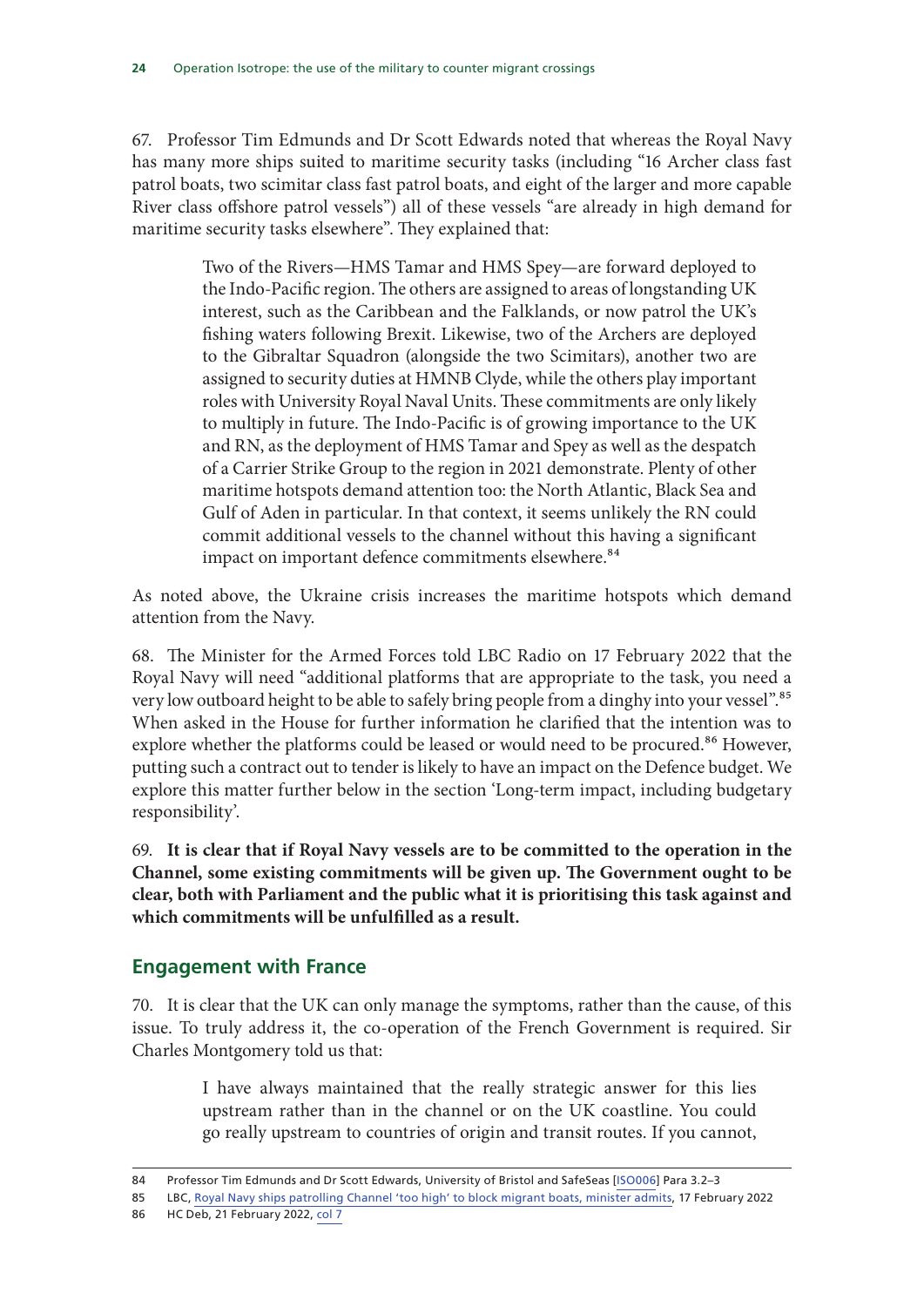67. Professor Tim Edmunds and Dr Scott Edwards noted that whereas the Royal Navy has many more ships suited to maritime security tasks (including "16 Archer class fast patrol boats, two scimitar class fast patrol boats, and eight of the larger and more capable River class offshore patrol vessels") all of these vessels "are already in high demand for maritime security tasks elsewhere". They explained that:

> Two of the Rivers—HMS Tamar and HMS Spey—are forward deployed to the Indo-Pacific region. The others are assigned to areas of longstanding UK interest, such as the Caribbean and the Falklands, or now patrol the UK's fishing waters following Brexit. Likewise, two of the Archers are deployed to the Gibraltar Squadron (alongside the two Scimitars), another two are assigned to security duties at HMNB Clyde, while the others play important roles with University Royal Naval Units. These commitments are only likely to multiply in future. The Indo-Pacific is of growing importance to the UK and RN, as the deployment of HMS Tamar and Spey as well as the despatch of a Carrier Strike Group to the region in 2021 demonstrate. Plenty of other maritime hotspots demand attention too: the North Atlantic, Black Sea and Gulf of Aden in particular. In that context, it seems unlikely the RN could commit additional vessels to the channel without this having a significant impact on important defence commitments elsewhere.<sup>84</sup>

As noted above, the Ukraine crisis increases the maritime hotspots which demand attention from the Navy.

68. The Minister for the Armed Forces told LBC Radio on 17 February 2022 that the Royal Navy will need "additional platforms that are appropriate to the task, you need a very low outboard height to be able to safely bring people from a dinghy into your vessel".<sup>85</sup> When asked in the House for further information he clarified that the intention was to explore whether the platforms could be leased or would need to be procured.<sup>86</sup> However, putting such a contract out to tender is likely to have an impact on the Defence budget. We explore this matter further below in the section 'Long-term impact, including budgetary responsibility'.

69. **It is clear that if Royal Navy vessels are to be committed to the operation in the Channel, some existing commitments will be given up. The Government ought to be clear, both with Parliament and the public what it is prioritising this task against and which commitments will be unfulfilled as a result.**

#### **Engagement with France**

70. It is clear that the UK can only manage the symptoms, rather than the cause, of this issue. To truly address it, the co-operation of the French Government is required. Sir Charles Montgomery told us that:

> I have always maintained that the really strategic answer for this lies upstream rather than in the channel or on the UK coastline. You could go really upstream to countries of origin and transit routes. If you cannot,

<sup>84</sup> Professor Tim Edmunds and Dr Scott Edwards, University of Bristol and SafeSeas [ISO006] Para 3.2–3

<sup>85</sup> LBC, Royal Navy ships patrolling Channel 'too high' to block migrant boats, minister admits, 17 February 2022

<sup>86</sup> HC Deb, 21 February 2022, col 7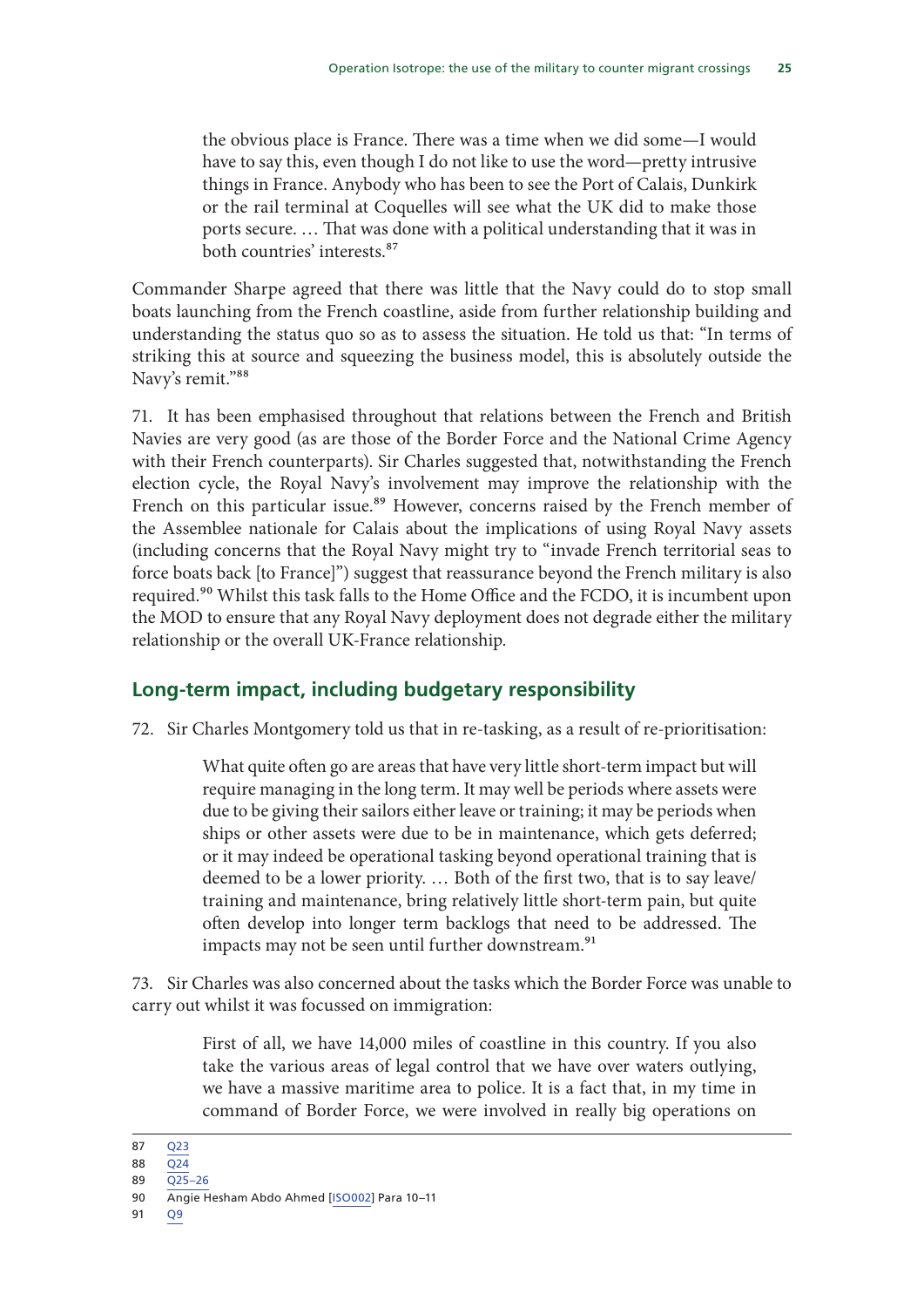the obvious place is France. There was a time when we did some—I would have to say this, even though I do not like to use the word—pretty intrusive things in France. Anybody who has been to see the Port of Calais, Dunkirk or the rail terminal at Coquelles will see what the UK did to make those ports secure. … That was done with a political understanding that it was in both countries' interests.87

Commander Sharpe agreed that there was little that the Navy could do to stop small boats launching from the French coastline, aside from further relationship building and understanding the status quo so as to assess the situation. He told us that: "In terms of striking this at source and squeezing the business model, this is absolutely outside the Navy's remit."88

71. It has been emphasised throughout that relations between the French and British Navies are very good (as are those of the Border Force and the National Crime Agency with their French counterparts). Sir Charles suggested that, notwithstanding the French election cycle, the Royal Navy's involvement may improve the relationship with the French on this particular issue.<sup>89</sup> However, concerns raised by the French member of the Assemblee nationale for Calais about the implications of using Royal Navy assets (including concerns that the Royal Navy might try to "invade French territorial seas to force boats back [to France]") suggest that reassurance beyond the French military is also required.<sup>90</sup> Whilst this task falls to the Home Office and the FCDO, it is incumbent upon the MOD to ensure that any Royal Navy deployment does not degrade either the military relationship or the overall UK-France relationship.

#### **Long-term impact, including budgetary responsibility**

72. Sir Charles Montgomery told us that in re-tasking, as a result of re-prioritisation:

What quite often go are areas that have very little short-term impact but will require managing in the long term. It may well be periods where assets were due to be giving their sailors either leave or training; it may be periods when ships or other assets were due to be in maintenance, which gets deferred; or it may indeed be operational tasking beyond operational training that is deemed to be a lower priority. … Both of the first two, that is to say leave/ training and maintenance, bring relatively little short-term pain, but quite often develop into longer term backlogs that need to be addressed. The impacts may not be seen until further downstream.<sup>91</sup>

73. Sir Charles was also concerned about the tasks which the Border Force was unable to carry out whilst it was focussed on immigration:

> First of all, we have 14,000 miles of coastline in this country. If you also take the various areas of legal control that we have over waters outlying, we have a massive maritime area to police. It is a fact that, in my time in command of Border Force, we were involved in really big operations on

91 Q9

<sup>87</sup> Q23

<sup>88 024</sup> 

<sup>89</sup> Q25–26

<sup>90</sup> Angie Hesham Abdo Ahmed [ISO002] Para 10–11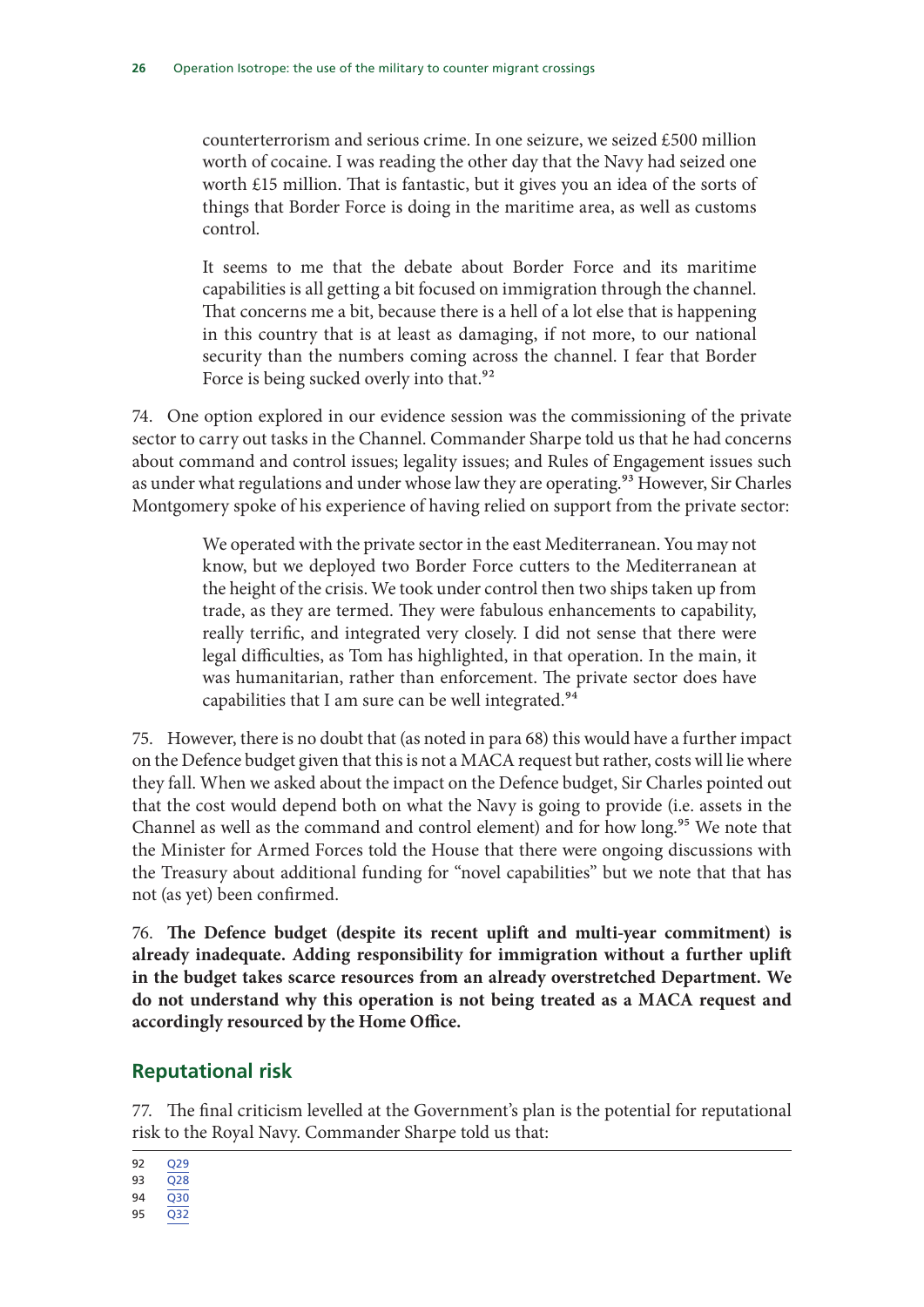counterterrorism and serious crime. In one seizure, we seized £500 million worth of cocaine. I was reading the other day that the Navy had seized one worth £15 million. That is fantastic, but it gives you an idea of the sorts of things that Border Force is doing in the maritime area, as well as customs control.

It seems to me that the debate about Border Force and its maritime capabilities is all getting a bit focused on immigration through the channel. That concerns me a bit, because there is a hell of a lot else that is happening in this country that is at least as damaging, if not more, to our national security than the numbers coming across the channel. I fear that Border Force is being sucked overly into that.<sup>92</sup>

74. One option explored in our evidence session was the commissioning of the private sector to carry out tasks in the Channel. Commander Sharpe told us that he had concerns about command and control issues; legality issues; and Rules of Engagement issues such as under what regulations and under whose law they are operating.<sup>93</sup> However, Sir Charles Montgomery spoke of his experience of having relied on support from the private sector:

> We operated with the private sector in the east Mediterranean. You may not know, but we deployed two Border Force cutters to the Mediterranean at the height of the crisis. We took under control then two ships taken up from trade, as they are termed. They were fabulous enhancements to capability, really terrific, and integrated very closely. I did not sense that there were legal difficulties, as Tom has highlighted, in that operation. In the main, it was humanitarian, rather than enforcement. The private sector does have capabilities that I am sure can be well integrated.<sup>94</sup>

75. However, there is no doubt that (as noted in para 68) this would have a further impact on the Defence budget given that this is not a MACA request but rather, costs will lie where they fall. When we asked about the impact on the Defence budget, Sir Charles pointed out that the cost would depend both on what the Navy is going to provide (i.e. assets in the Channel as well as the command and control element) and for how long.<sup>95</sup> We note that the Minister for Armed Forces told the House that there were ongoing discussions with the Treasury about additional funding for "novel capabilities" but we note that that has not (as yet) been confirmed.

76. **The Defence budget (despite its recent uplift and multi-year commitment) is already inadequate. Adding responsibility for immigration without a further uplift in the budget takes scarce resources from an already overstretched Department. We do not understand why this operation is not being treated as a MACA request and accordingly resourced by the Home Office.**

#### **Reputational risk**

77. The final criticism levelled at the Government's plan is the potential for reputational risk to the Royal Navy. Commander Sharpe told us that:

- 94 Q30
- 95 Q32

<sup>92</sup> Q29

<sup>93</sup> Q28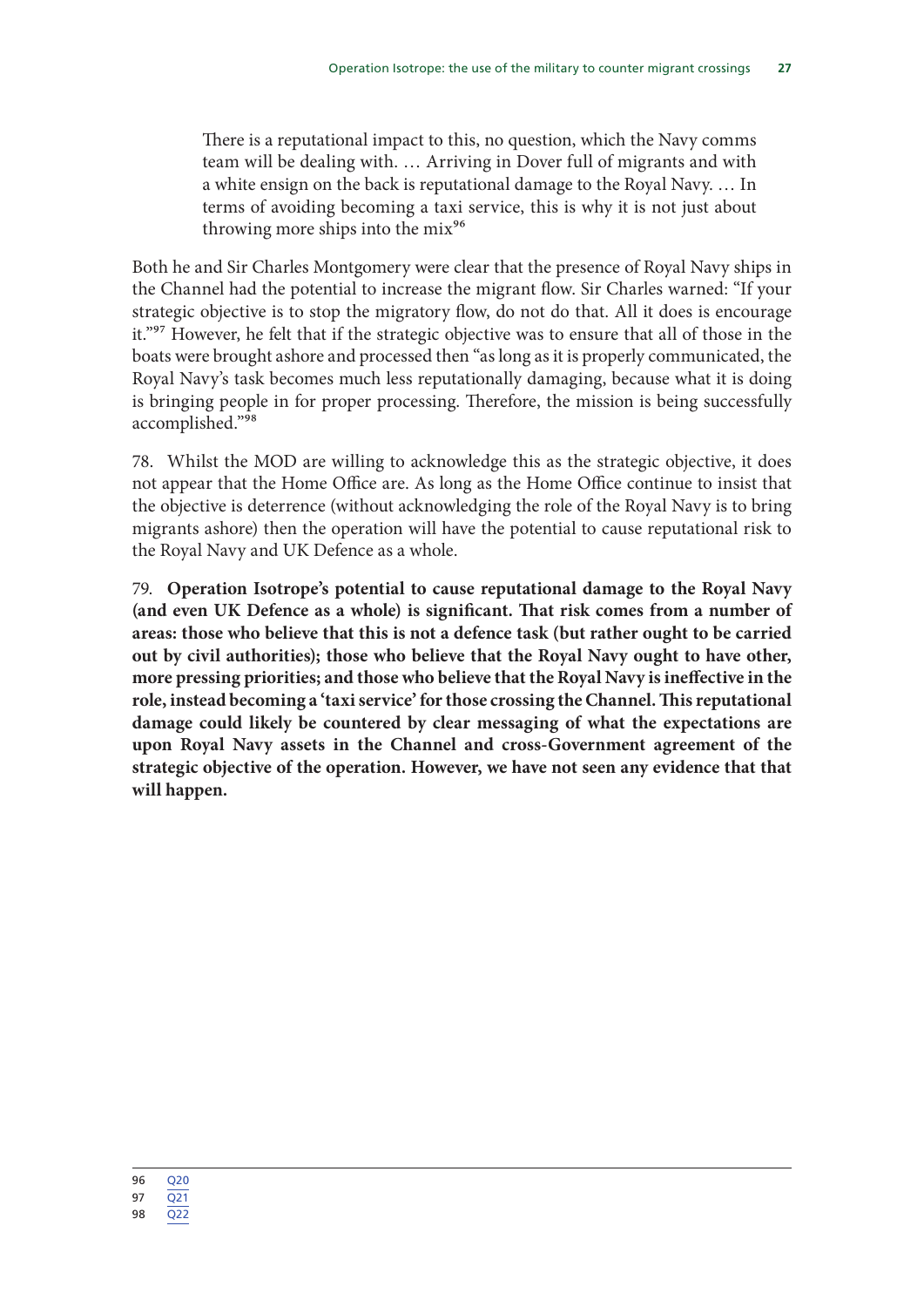There is a reputational impact to this, no question, which the Navy comms team will be dealing with. … Arriving in Dover full of migrants and with a white ensign on the back is reputational damage to the Royal Navy. … In terms of avoiding becoming a taxi service, this is why it is not just about throwing more ships into the  $mix^{96}$ 

Both he and Sir Charles Montgomery were clear that the presence of Royal Navy ships in the Channel had the potential to increase the migrant flow. Sir Charles warned: "If your strategic objective is to stop the migratory flow, do not do that. All it does is encourage it."<sup>97</sup> However, he felt that if the strategic objective was to ensure that all of those in the boats were brought ashore and processed then "as long as it is properly communicated, the Royal Navy's task becomes much less reputationally damaging, because what it is doing is bringing people in for proper processing. Therefore, the mission is being successfully accomplished."98

78. Whilst the MOD are willing to acknowledge this as the strategic objective, it does not appear that the Home Office are. As long as the Home Office continue to insist that the objective is deterrence (without acknowledging the role of the Royal Navy is to bring migrants ashore) then the operation will have the potential to cause reputational risk to the Royal Navy and UK Defence as a whole.

79. **Operation Isotrope's potential to cause reputational damage to the Royal Navy (and even UK Defence as a whole) is significant. That risk comes from a number of areas: those who believe that this is not a defence task (but rather ought to be carried out by civil authorities); those who believe that the Royal Navy ought to have other, more pressing priorities; and those who believe that the Royal Navy is ineffective in the role, instead becoming a 'taxi service' for those crossing the Channel. This reputational damage could likely be countered by clear messaging of what the expectations are upon Royal Navy assets in the Channel and cross-Government agreement of the strategic objective of the operation. However, we have not seen any evidence that that will happen.**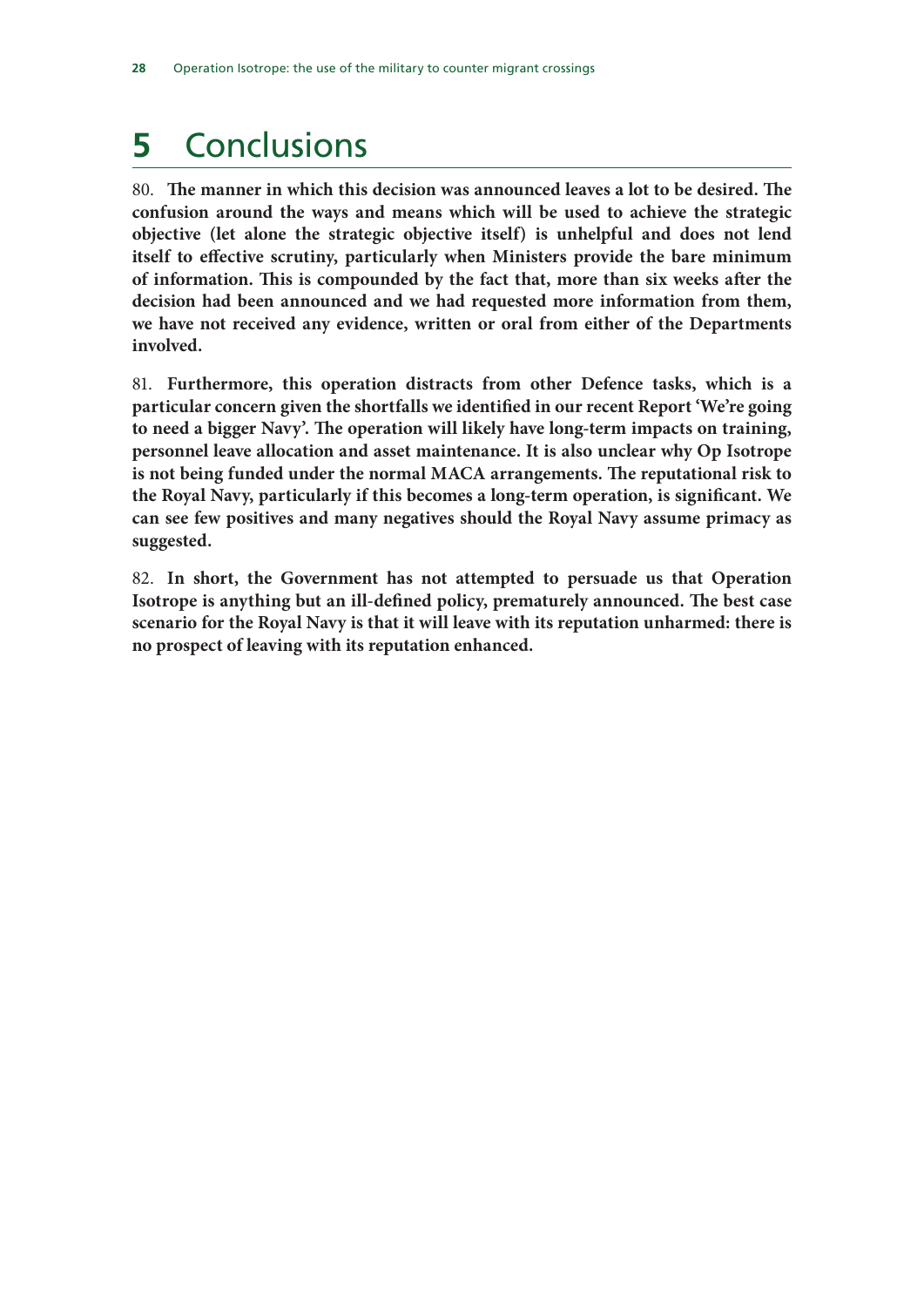## **5** Conclusions

80. **The manner in which this decision was announced leaves a lot to be desired. The confusion around the ways and means which will be used to achieve the strategic objective (let alone the strategic objective itself) is unhelpful and does not lend itself to effective scrutiny, particularly when Ministers provide the bare minimum of information. This is compounded by the fact that, more than six weeks after the decision had been announced and we had requested more information from them, we have not received any evidence, written or oral from either of the Departments involved.**

81. **Furthermore, this operation distracts from other Defence tasks, which is a particular concern given the shortfalls we identified in our recent Report 'We're going to need a bigger Navy'. The operation will likely have long-term impacts on training, personnel leave allocation and asset maintenance. It is also unclear why Op Isotrope is not being funded under the normal MACA arrangements. The reputational risk to the Royal Navy, particularly if this becomes a long-term operation, is significant. We can see few positives and many negatives should the Royal Navy assume primacy as suggested.**

82. **In short, the Government has not attempted to persuade us that Operation Isotrope is anything but an ill-defined policy, prematurely announced. The best case scenario for the Royal Navy is that it will leave with its reputation unharmed: there is no prospect of leaving with its reputation enhanced.**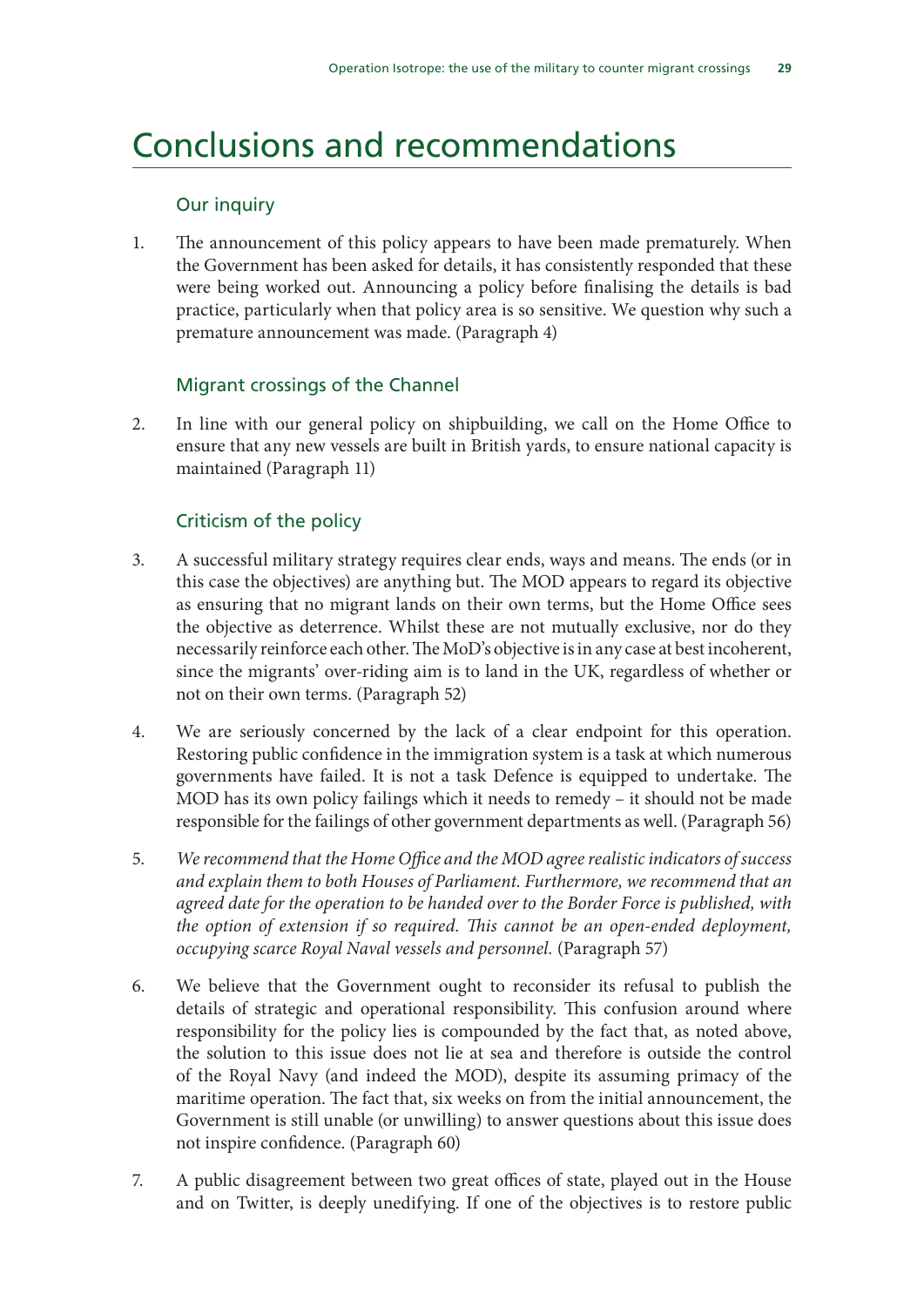## Conclusions and recommendations

#### Our inquiry

1. The announcement of this policy appears to have been made prematurely. When the Government has been asked for details, it has consistently responded that these were being worked out. Announcing a policy before finalising the details is bad practice, particularly when that policy area is so sensitive. We question why such a premature announcement was made. (Paragraph 4)

#### Migrant crossings of the Channel

2. In line with our general policy on shipbuilding, we call on the Home Office to ensure that any new vessels are built in British yards, to ensure national capacity is maintained (Paragraph 11)

#### Criticism of the policy

- 3. A successful military strategy requires clear ends, ways and means. The ends (or in this case the objectives) are anything but. The MOD appears to regard its objective as ensuring that no migrant lands on their own terms, but the Home Office sees the objective as deterrence. Whilst these are not mutually exclusive, nor do they necessarily reinforce each other. The MoD's objective is in any case at best incoherent, since the migrants' over-riding aim is to land in the UK, regardless of whether or not on their own terms. (Paragraph 52)
- 4. We are seriously concerned by the lack of a clear endpoint for this operation. Restoring public confidence in the immigration system is a task at which numerous governments have failed. It is not a task Defence is equipped to undertake. The MOD has its own policy failings which it needs to remedy – it should not be made responsible for the failings of other government departments as well. (Paragraph 56)
- 5. *We recommend that the Home Office and the MOD agree realistic indicators of success and explain them to both Houses of Parliament. Furthermore, we recommend that an agreed date for the operation to be handed over to the Border Force is published, with the option of extension if so required. This cannot be an open-ended deployment, occupying scarce Royal Naval vessels and personnel.* (Paragraph 57)
- 6. We believe that the Government ought to reconsider its refusal to publish the details of strategic and operational responsibility. This confusion around where responsibility for the policy lies is compounded by the fact that, as noted above, the solution to this issue does not lie at sea and therefore is outside the control of the Royal Navy (and indeed the MOD), despite its assuming primacy of the maritime operation. The fact that, six weeks on from the initial announcement, the Government is still unable (or unwilling) to answer questions about this issue does not inspire confidence. (Paragraph 60)
- 7. A public disagreement between two great offices of state, played out in the House and on Twitter, is deeply unedifying. If one of the objectives is to restore public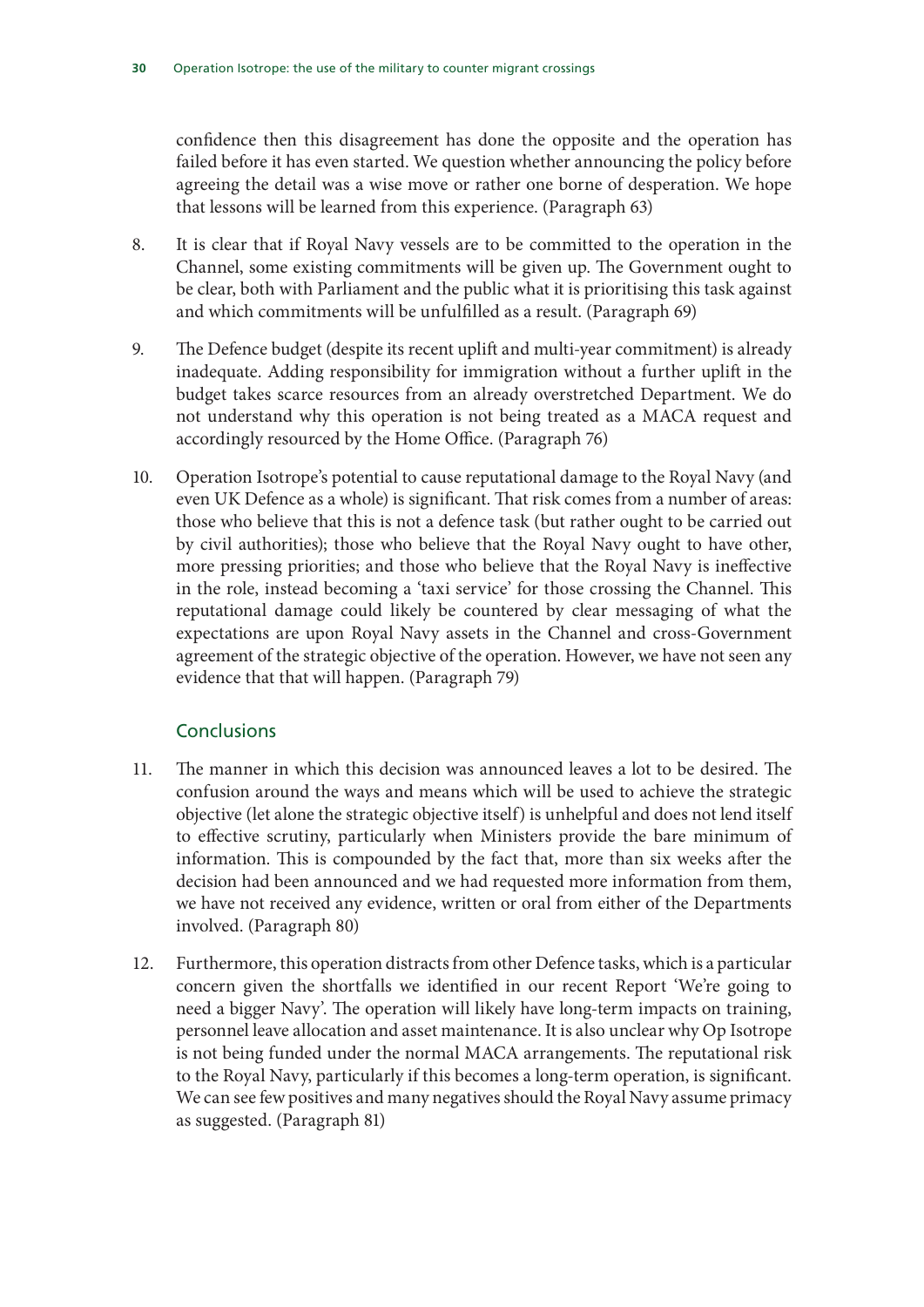confidence then this disagreement has done the opposite and the operation has failed before it has even started. We question whether announcing the policy before agreeing the detail was a wise move or rather one borne of desperation. We hope that lessons will be learned from this experience. (Paragraph 63)

- 8. It is clear that if Royal Navy vessels are to be committed to the operation in the Channel, some existing commitments will be given up. The Government ought to be clear, both with Parliament and the public what it is prioritising this task against and which commitments will be unfulfilled as a result. (Paragraph 69)
- 9. The Defence budget (despite its recent uplift and multi-year commitment) is already inadequate. Adding responsibility for immigration without a further uplift in the budget takes scarce resources from an already overstretched Department. We do not understand why this operation is not being treated as a MACA request and accordingly resourced by the Home Office. (Paragraph 76)
- 10. Operation Isotrope's potential to cause reputational damage to the Royal Navy (and even UK Defence as a whole) is significant. That risk comes from a number of areas: those who believe that this is not a defence task (but rather ought to be carried out by civil authorities); those who believe that the Royal Navy ought to have other, more pressing priorities; and those who believe that the Royal Navy is ineffective in the role, instead becoming a 'taxi service' for those crossing the Channel. This reputational damage could likely be countered by clear messaging of what the expectations are upon Royal Navy assets in the Channel and cross-Government agreement of the strategic objective of the operation. However, we have not seen any evidence that that will happen. (Paragraph 79)

#### **Conclusions**

- 11. The manner in which this decision was announced leaves a lot to be desired. The confusion around the ways and means which will be used to achieve the strategic objective (let alone the strategic objective itself) is unhelpful and does not lend itself to effective scrutiny, particularly when Ministers provide the bare minimum of information. This is compounded by the fact that, more than six weeks after the decision had been announced and we had requested more information from them, we have not received any evidence, written or oral from either of the Departments involved. (Paragraph 80)
- 12. Furthermore, this operation distracts from other Defence tasks, which is a particular concern given the shortfalls we identified in our recent Report 'We're going to need a bigger Navy'. The operation will likely have long-term impacts on training, personnel leave allocation and asset maintenance. It is also unclear why Op Isotrope is not being funded under the normal MACA arrangements. The reputational risk to the Royal Navy, particularly if this becomes a long-term operation, is significant. We can see few positives and many negatives should the Royal Navy assume primacy as suggested. (Paragraph 81)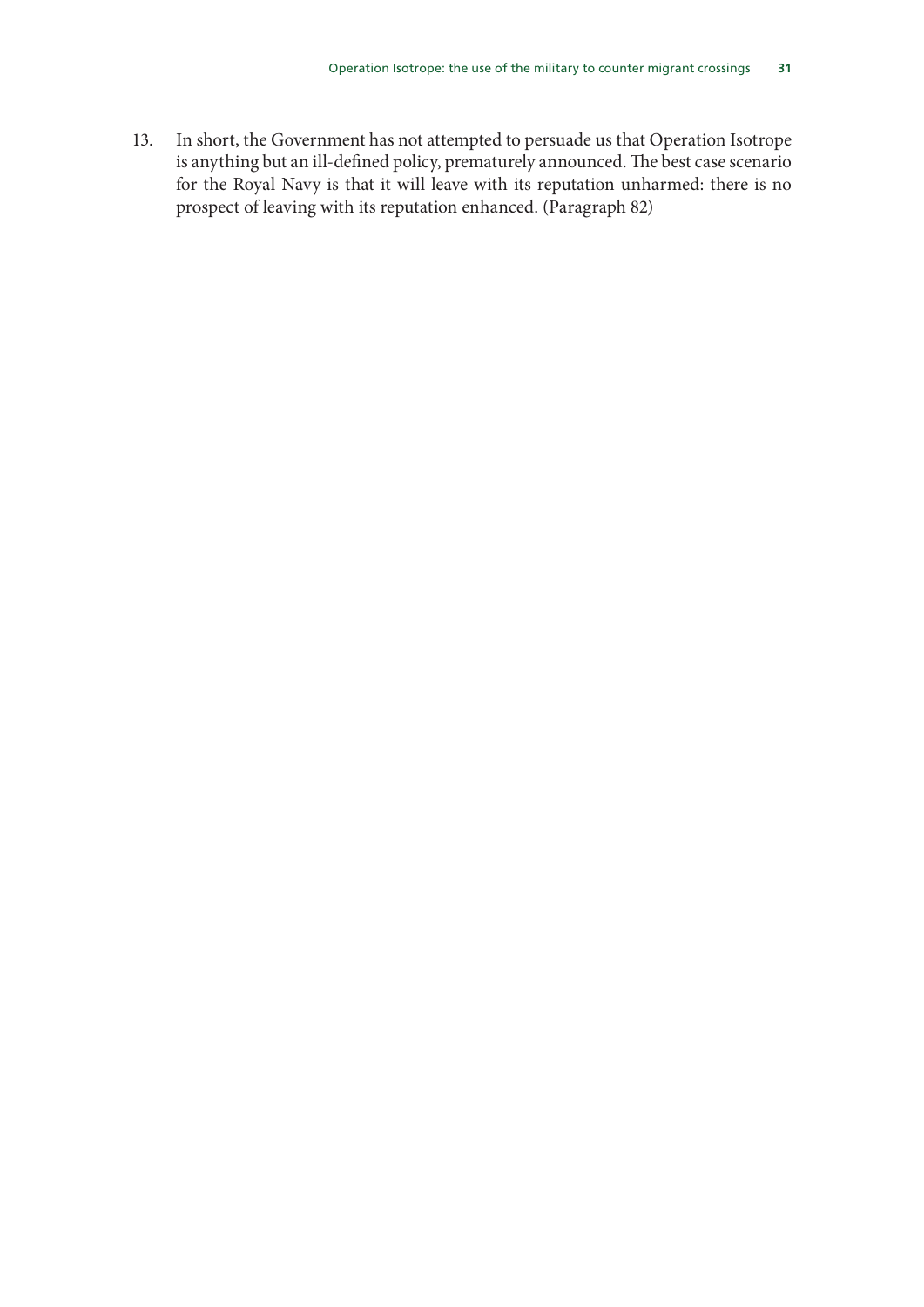13. In short, the Government has not attempted to persuade us that Operation Isotrope is anything but an ill-defined policy, prematurely announced. The best case scenario for the Royal Navy is that it will leave with its reputation unharmed: there is no prospect of leaving with its reputation enhanced. (Paragraph 82)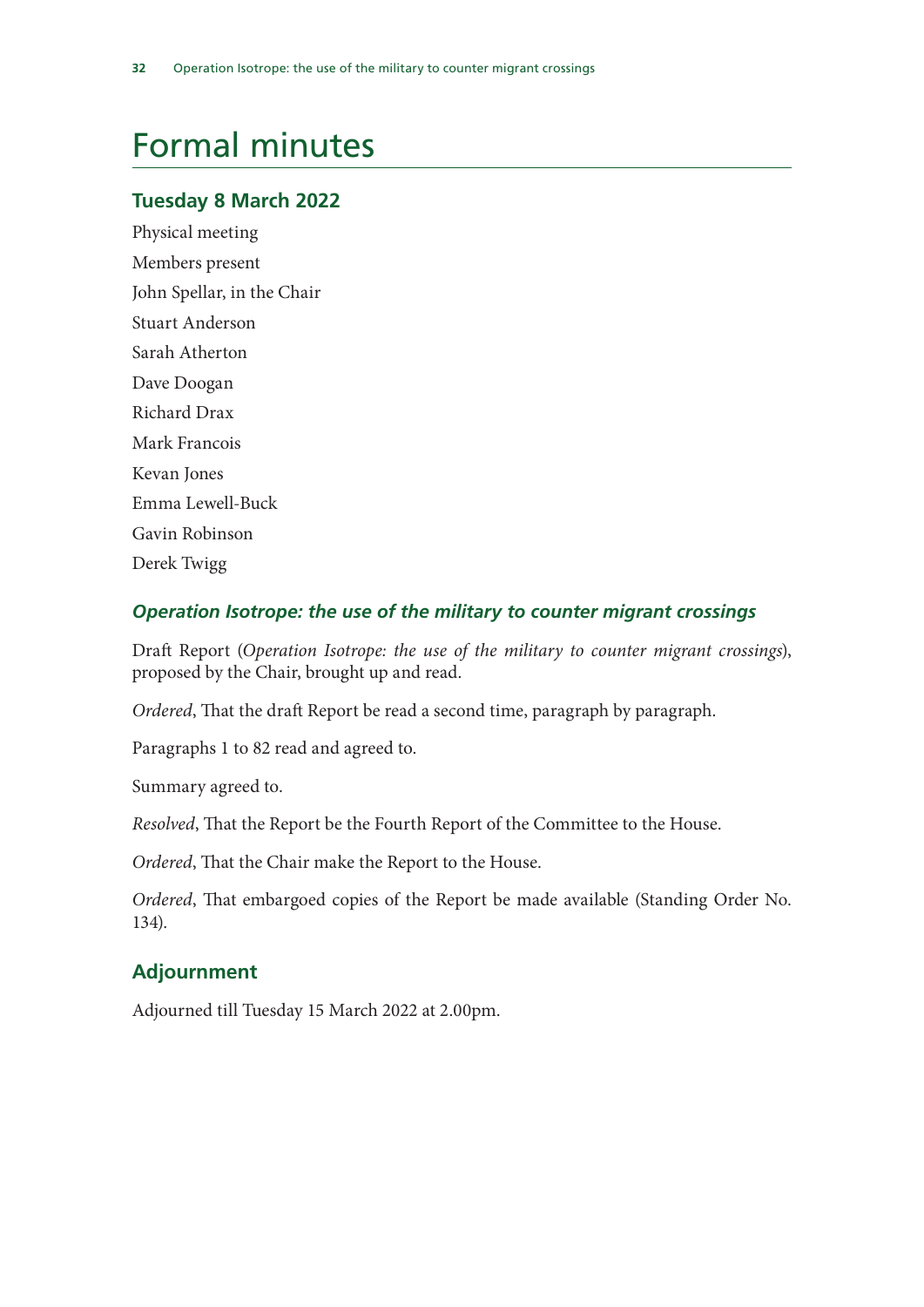## Formal minutes

#### **Tuesday 8 March 2022**

Physical meeting Members present John Spellar, in the Chair Stuart Anderson Sarah Atherton Dave Doogan Richard Drax Mark Francois Kevan Jones Emma Lewell-Buck Gavin Robinson Derek Twigg

#### *Operation Isotrope: the use of the military to counter migrant crossings*

Draft Report (*Operation Isotrope: the use of the military to counter migrant crossings*), proposed by the Chair, brought up and read.

*Ordered*, That the draft Report be read a second time, paragraph by paragraph.

Paragraphs 1 to 82 read and agreed to.

Summary agreed to.

*Resolved*, That the Report be the Fourth Report of the Committee to the House.

*Ordered*, That the Chair make the Report to the House.

*Ordered*, That embargoed copies of the Report be made available (Standing Order No. 134).

#### **Adjournment**

Adjourned till Tuesday 15 March 2022 at 2.00pm.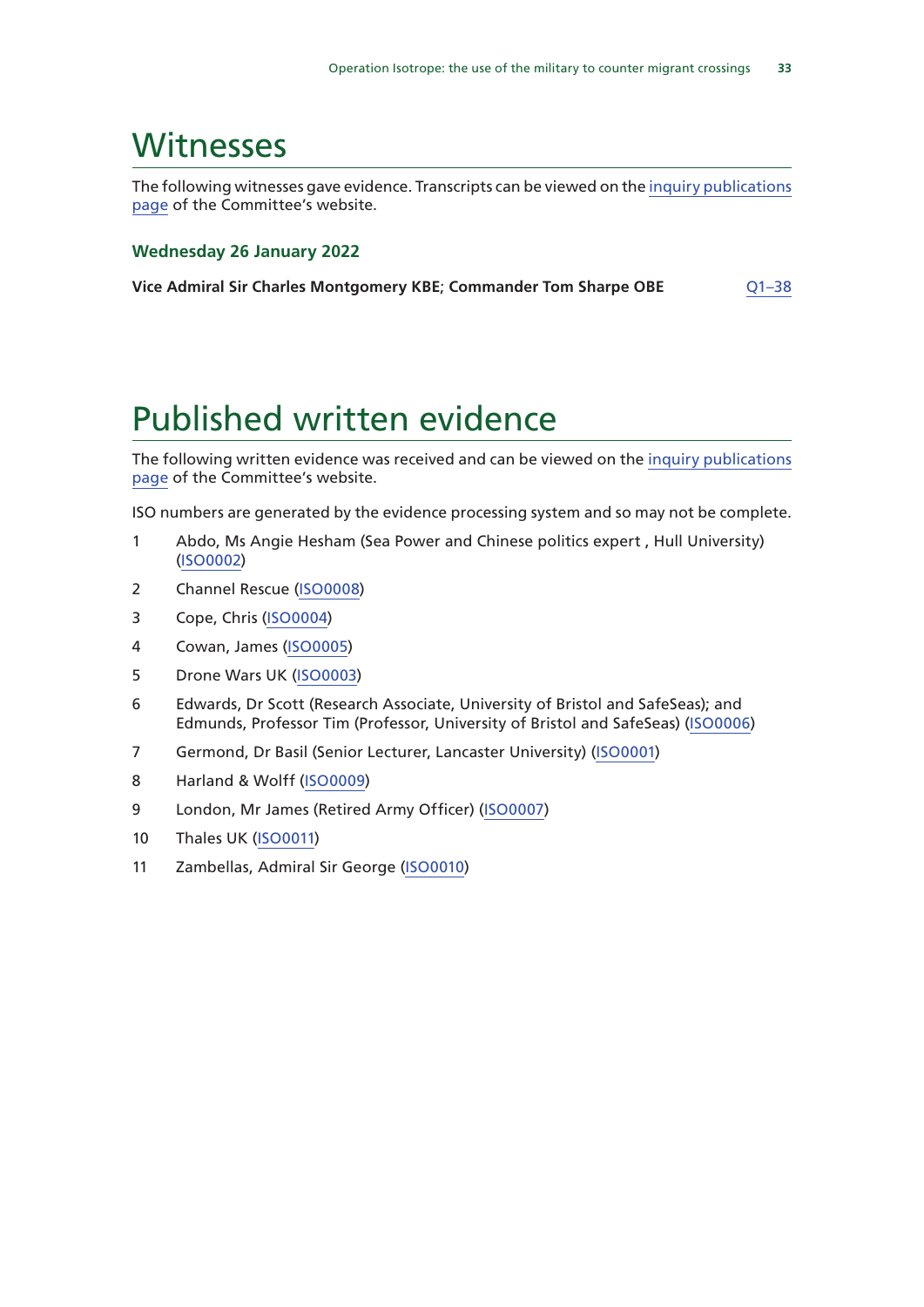### **Witnesses**

The following witnesses gave evidence. Transcripts can be viewed on the inquiry publications page of the Committee's website.

#### **Wednesday 26 January 2022**

| Vice Admiral Sir Charles Montgomery KBE; Commander Tom Sharpe OBE | $Q1 - 38$ |
|-------------------------------------------------------------------|-----------|
|-------------------------------------------------------------------|-----------|

### Published written evidence

The following written evidence was received and can be viewed on the inquiry publications page of the Committee's website.

ISO numbers are generated by the evidence processing system and so may not be complete.

- 1 Abdo, Ms Angie Hesham (Sea Power and Chinese politics expert , Hull University) (ISO0002)
- 2 Channel Rescue (ISO0008)
- 3 Cope, Chris (ISO0004)
- 4 Cowan, James (ISO0005)
- 5 Drone Wars UK (ISO0003)
- 6 Edwards, Dr Scott (Research Associate, University of Bristol and SafeSeas); and Edmunds, Professor Tim (Professor, University of Bristol and SafeSeas) (ISO0006)
- 7 Germond, Dr Basil (Senior Lecturer, Lancaster University) (ISO0001)
- 8 Harland & Wolff (ISO0009)
- 9 London, Mr James (Retired Army Officer) (ISO0007)
- 10 Thales UK (ISO0011)
- 11 Zambellas, Admiral Sir George (ISO0010)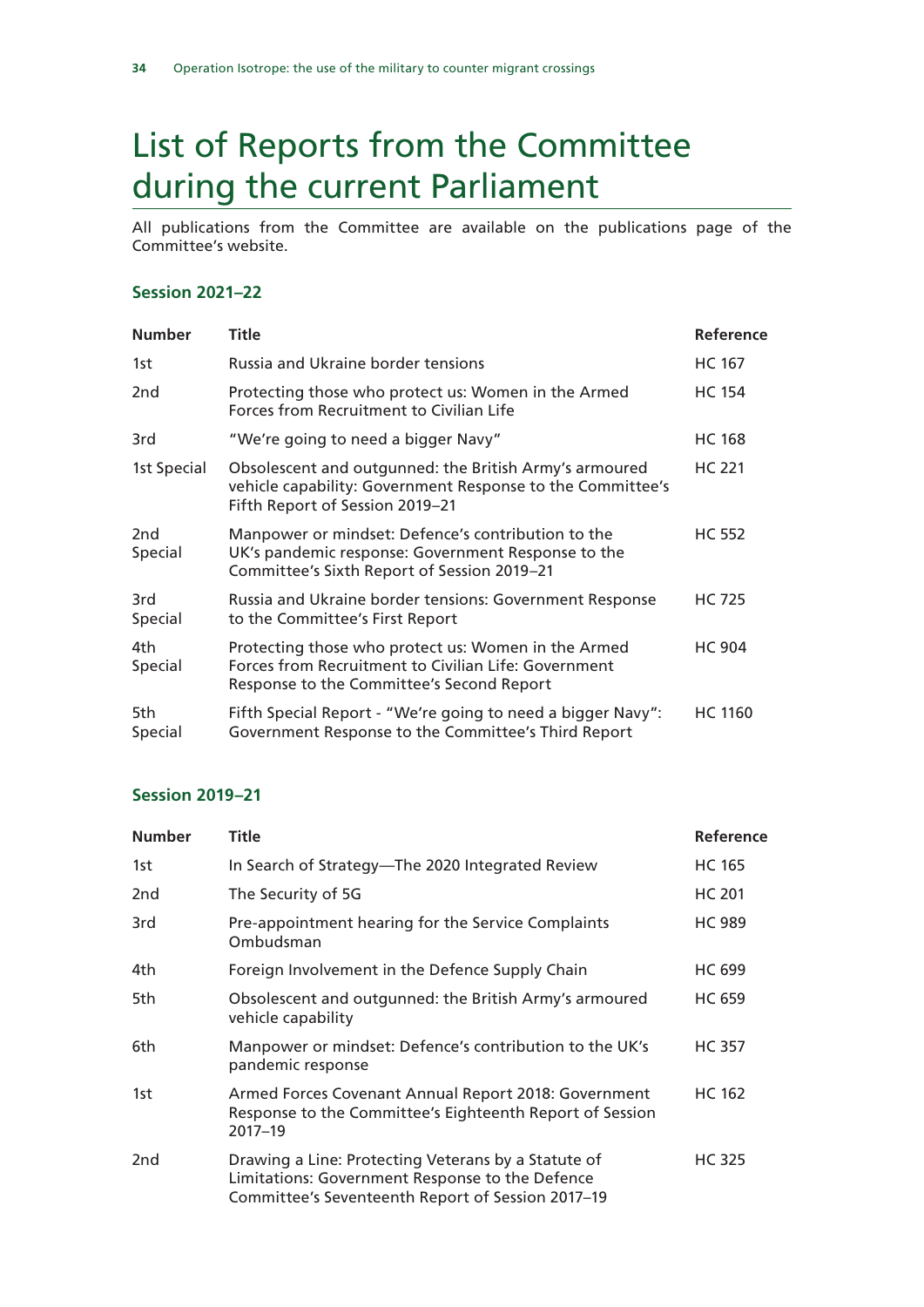## List of Reports from the Committee during the current Parliament

All publications from the Committee are available on the publications page of the Committee's website.

#### **Session 2021–22**

| <b>Number</b>   | Title                                                                                                                                                    | Reference      |
|-----------------|----------------------------------------------------------------------------------------------------------------------------------------------------------|----------------|
| 1st             | <b>Russia and Ukraine border tensions</b>                                                                                                                | <b>HC 167</b>  |
| 2 <sub>nd</sub> | Protecting those who protect us: Women in the Armed<br>Forces from Recruitment to Civilian Life                                                          | <b>HC 154</b>  |
| 3rd             | "We're going to need a bigger Navy"                                                                                                                      | <b>HC 168</b>  |
| 1st Special     | Obsolescent and outgunned: the British Army's armoured<br>vehicle capability: Government Response to the Committee's<br>Fifth Report of Session 2019-21  | <b>HC 221</b>  |
| 2nd<br>Special  | Manpower or mindset: Defence's contribution to the<br>UK's pandemic response: Government Response to the<br>Committee's Sixth Report of Session 2019-21  | <b>HC 552</b>  |
| 3rd<br>Special  | Russia and Ukraine border tensions: Government Response<br>to the Committee's First Report                                                               | <b>HC 725</b>  |
| 4th<br>Special  | Protecting those who protect us: Women in the Armed<br>Forces from Recruitment to Civilian Life: Government<br>Response to the Committee's Second Report | <b>HC 904</b>  |
| 5th<br>Special  | Fifth Special Report - "We're going to need a bigger Navy":<br>Government Response to the Committee's Third Report                                       | <b>HC 1160</b> |

#### **Session 2019–21**

| <b>Number</b>   | Title                                                                                                                                                       | Reference     |
|-----------------|-------------------------------------------------------------------------------------------------------------------------------------------------------------|---------------|
| 1st             | In Search of Strategy-The 2020 Integrated Review                                                                                                            | <b>HC 165</b> |
| 2 <sub>nd</sub> | The Security of 5G                                                                                                                                          | <b>HC 201</b> |
| 3rd             | Pre-appointment hearing for the Service Complaints<br>Ombudsman                                                                                             | <b>HC 989</b> |
| 4th.            | Foreign Involvement in the Defence Supply Chain                                                                                                             | <b>HC 699</b> |
| 5th             | Obsolescent and outgunned: the British Army's armoured<br>vehicle capability                                                                                | <b>HC 659</b> |
| 6th             | Manpower or mindset: Defence's contribution to the UK's<br>pandemic response                                                                                | <b>HC 357</b> |
| 1st             | Armed Forces Covenant Annual Report 2018: Government<br>Response to the Committee's Eighteenth Report of Session<br>$2017 - 19$                             | <b>HC 162</b> |
| 2 <sub>nd</sub> | Drawing a Line: Protecting Veterans by a Statute of<br>Limitations: Government Response to the Defence<br>Committee's Seventeenth Report of Session 2017-19 | <b>HC 325</b> |